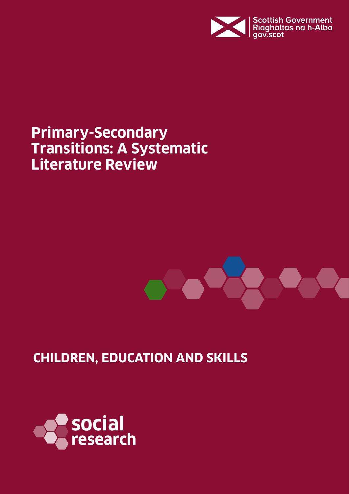

# **Primary-Secondary Transitions: A Systematic Literature Review**



# **CHILDREN, EDUCATION AND SKILLS**

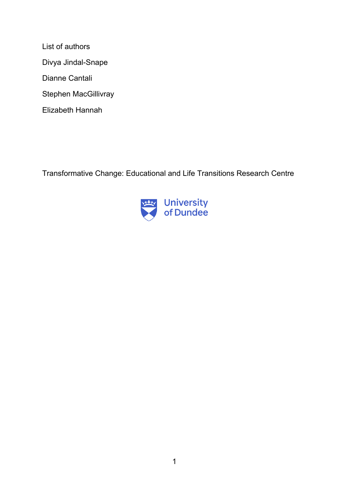List of authors Divya Jindal-Snape Dianne Cantali Stephen MacGillivray Elizabeth Hannah

Transformative Change: Educational and Life Transitions Research Centre

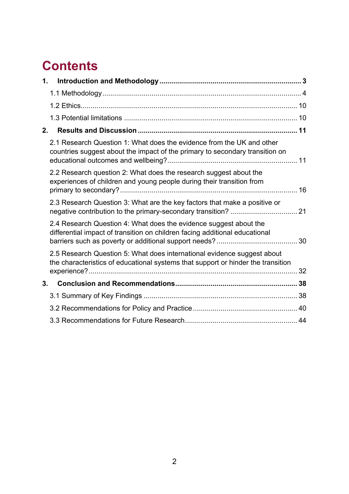# **Contents**

| 1. |                                                                                                                                                             |  |
|----|-------------------------------------------------------------------------------------------------------------------------------------------------------------|--|
|    |                                                                                                                                                             |  |
|    |                                                                                                                                                             |  |
|    |                                                                                                                                                             |  |
| 2. |                                                                                                                                                             |  |
|    | 2.1 Research Question 1: What does the evidence from the UK and other<br>countries suggest about the impact of the primary to secondary transition on       |  |
|    | 2.2 Research question 2: What does the research suggest about the<br>experiences of children and young people during their transition from                  |  |
|    | 2.3 Research Question 3: What are the key factors that make a positive or                                                                                   |  |
|    | 2.4 Research Question 4: What does the evidence suggest about the<br>differential impact of transition on children facing additional educational            |  |
|    | 2.5 Research Question 5: What does international evidence suggest about<br>the characteristics of educational systems that support or hinder the transition |  |
| 3. |                                                                                                                                                             |  |
|    |                                                                                                                                                             |  |
|    |                                                                                                                                                             |  |
|    |                                                                                                                                                             |  |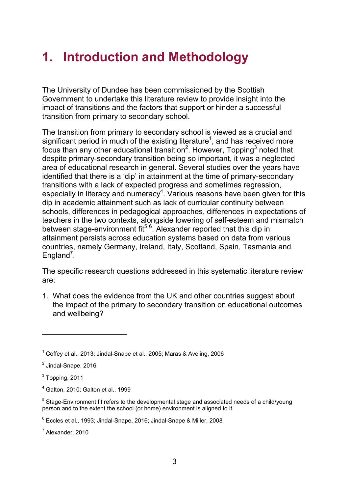# <span id="page-3-0"></span>**1. Introduction and Methodology**

The University of Dundee has been commissioned by the Scottish Government to undertake this literature review to provide insight into the impact of transitions and the factors that support or hinder a successful transition from primary to secondary school.

The transition from primary to secondary school is viewed as a crucial and significant period in much of the existing literature<sup>1</sup>, and has received more focus than any other educational transition<sup>2</sup>. However, Topping<sup>3</sup> noted that despite primary-secondary transition being so important, it was a neglected area of educational research in general. Several studies over the years have identified that there is a 'dip' in attainment at the time of primary-secondary transitions with a lack of expected progress and sometimes regression, especially in literacy and numeracy<sup>4</sup>. Various reasons have been given for this dip in academic attainment such as lack of curricular continuity between schools, differences in pedagogical approaches, differences in expectations of teachers in the two contexts, alongside lowering of self-esteem and mismatch between stage-environment fit<sup>56</sup>. Alexander reported that this dip in attainment persists across education systems based on data from various countries, namely Germany, Ireland, Italy, Scotland, Spain, Tasmania and England<sup>7</sup>.

The specific research questions addressed in this systematic literature review are:

1. What does the evidence from the UK and other countries suggest about the impact of the primary to secondary transition on educational outcomes and wellbeing?

 $\overline{a}$ 

 $<sup>7</sup>$  Alexander, 2010</sup>

<sup>1</sup> Coffey et al., 2013; Jindal-Snape et al., 2005; Maras & Aveling, 2006

<sup>&</sup>lt;sup>2</sup> Jindal-Snape, 2016

 $3$  Topping, 2011

<sup>4</sup> Galton, 2010; Galton et al., 1999

 $<sup>5</sup> Staae-Environment fit refers to the developmental stage and associated needs of a child/vounq$ </sup> person and to the extent the school (or home) environment is aligned to it.

 $6$  Eccles et al., 1993; Jindal-Snape, 2016; Jindal-Snape & Miller, 2008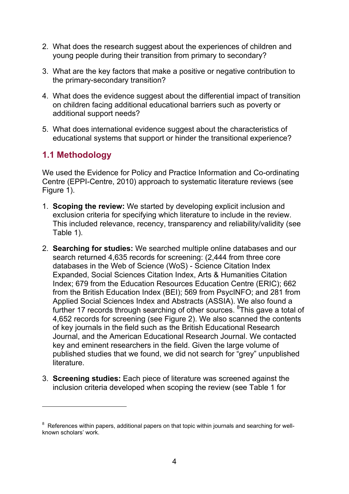- 2. What does the research suggest about the experiences of children and young people during their transition from primary to secondary?
- 3. What are the key factors that make a positive or negative contribution to the primary-secondary transition?
- 4. What does the evidence suggest about the differential impact of transition on children facing additional educational barriers such as poverty or additional support needs?
- 5. What does international evidence suggest about the characteristics of educational systems that support or hinder the transitional experience?

# <span id="page-4-0"></span>**1.1 Methodology**

 $\overline{a}$ 

We used the Evidence for Policy and Practice Information and Co-ordinating Centre (EPPI-Centre, 2010) approach to systematic literature reviews (see [Figure 1\)](#page-7-0).

- 1. **Scoping the review:** We started by developing explicit inclusion and exclusion criteria for specifying which literature to include in the review. This included relevance, recency, transparency and reliability/validity (see [Table 1\)](#page-8-0).
- 2. **Searching for studies:** We searched multiple online databases and our search returned 4,635 records for screening: (2,444 from three core databases in the Web of Science (WoS) - Science Citation Index Expanded, Social Sciences Citation Index, Arts & Humanities Citation Index; 679 from the Education Resources Education Centre (ERIC); 662 from the British Education Index (BEI); 569 from PsycINFO; and 281 from Applied Social Sciences Index and Abstracts (ASSIA). We also found a further 17 records through searching of other sources. <sup>8</sup>This gave a total of 4,652 records for screening (see [Figure 2\)](#page-9-0). We also scanned the contents of key journals in the field such as the British Educational Research Journal, and the American Educational Research Journal. We contacted key and eminent researchers in the field. Given the large volume of published studies that we found, we did not search for "grey" unpublished literature.
- 3. **Screening studies:** Each piece of literature was screened against the inclusion criteria developed when scoping the review (see [Table 1](#page-8-0) for

 $8$  References within papers, additional papers on that topic within journals and searching for wellknown scholars' work.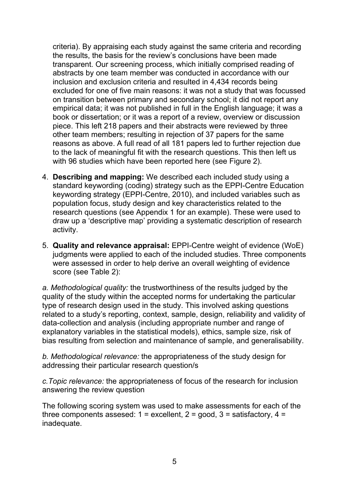criteria). By appraising each study against the same criteria and recording the results, the basis for the review's conclusions have been made transparent. Our screening process, which initially comprised reading of abstracts by one team member was conducted in accordance with our inclusion and exclusion criteria and resulted in 4,434 records being excluded for one of five main reasons: it was not a study that was focussed on transition between primary and secondary school; it did not report any empirical data; it was not published in full in the English language; it was a book or dissertation; or it was a report of a review, overview or discussion piece. This left 218 papers and their abstracts were reviewed by three other team members; resulting in rejection of 37 papers for the same reasons as above. A full read of all 181 papers led to further rejection due to the lack of meaningful fit with the research questions. This then left us with 96 studies which have been reported here (see [Figure 2\)](#page-9-0).

- 4. **Describing and mapping:** We described each included study using a standard keywording (coding) strategy such as the EPPI-Centre Education keywording strategy (EPPI-Centre, 2010), and included variables such as population focus, study design and key characteristics related to the research questions (see Appendix 1 for an example). These were used to draw up a 'descriptive map' providing a systematic description of research activity.
- 5. **Quality and relevance appraisal:** EPPI-Centre weight of evidence (WoE) judgments were applied to each of the included studies. Three components were assessed in order to help derive an overall weighting of evidence score (see Table 2):

*a. Methodological quality:* the trustworthiness of the results judged by the quality of the study within the accepted norms for undertaking the particular type of research design used in the study. This involved asking questions related to a study's reporting, context, sample, design, reliability and validity of data-collection and analysis (including appropriate number and range of explanatory variables in the statistical models), ethics, sample size, risk of bias resulting from selection and maintenance of sample, and generalisability.

*b. Methodological relevance:* the appropriateness of the study design for addressing their particular research question/s

*c.Topic relevance:* the appropriateness of focus of the research for inclusion answering the review question

The following scoring system was used to make assessments for each of the three components assesed:  $1 =$  excellent,  $2 =$  good,  $3 =$  satisfactory,  $4 =$ inadequate.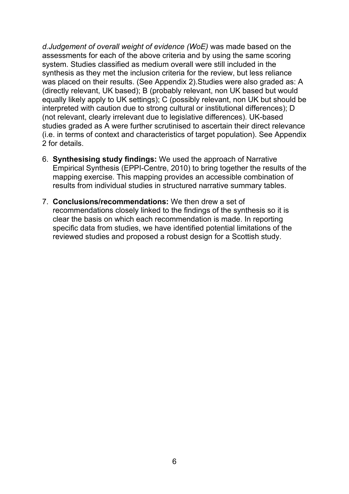*d.Judgement of overall weight of evidence (WoE)* was made based on the assessments for each of the above criteria and by using the same scoring system. Studies classified as medium overall were still included in the synthesis as they met the inclusion criteria for the review, but less reliance was placed on their results. Studies were also graded as: A (directly relevant, UK based); B (probably relevant, non UK based but would equally likely apply to UK settings); C (possibly relevant, non UK but should be interpreted with caution due to strong cultural or institutional differences); D (not relevant, clearly irrelevant due to legislative differences). UK-based studies graded as A were further scrutinised to ascertain their direct relevance (i.e. in terms of context and characteristics of target population). Further details can be requested from main author.

- 6. **Synthesising study findings:** We used the approach of Narrative Empirical Synthesis (EPPI-Centre, 2010) to bring together the results of the mapping exercise. This mapping provides an accessible combination of results from individual studies in structured narrative summary tables.
- 7. **Conclusions/recommendations:** We then drew a set of recommendations closely linked to the findings of the synthesis so it is clear the basis on which each recommendation is made. In reporting specific data from studies, we have identified potential limitations of the reviewed studies and proposed a robust design for a Scottish study.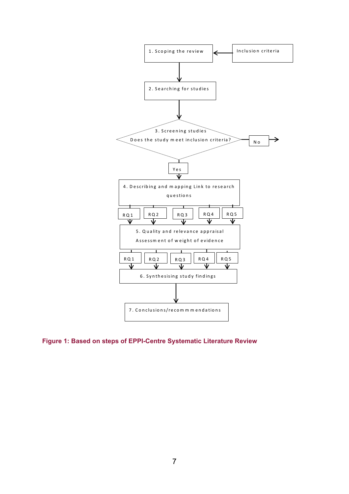

<span id="page-7-0"></span>**Figure 1: Based on steps of EPPI-Centre Systematic Literature Review**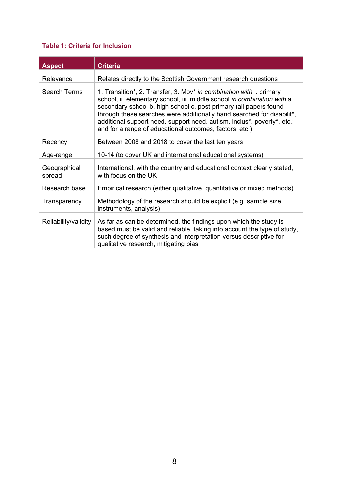#### <span id="page-8-0"></span>**Table 1: Criteria for Inclusion**

| <b>Aspect</b>          | <b>Criteria</b>                                                                                                                                                                                                                                                                                                                                                                                                                      |
|------------------------|--------------------------------------------------------------------------------------------------------------------------------------------------------------------------------------------------------------------------------------------------------------------------------------------------------------------------------------------------------------------------------------------------------------------------------------|
| Relevance              | Relates directly to the Scottish Government research questions                                                                                                                                                                                                                                                                                                                                                                       |
| Search Terms           | 1. Transition*, 2. Transfer, 3. Mov* in combination with i. primary<br>school, ii. elementary school, iii. middle school in combination with a.<br>secondary school b. high school c. post-primary (all papers found<br>through these searches were additionally hand searched for disabilit*,<br>additional support need, support need, autism, inclus*, poverty*, etc.;<br>and for a range of educational outcomes, factors, etc.) |
| Recency                | Between 2008 and 2018 to cover the last ten years                                                                                                                                                                                                                                                                                                                                                                                    |
| Age-range              | 10-14 (to cover UK and international educational systems)                                                                                                                                                                                                                                                                                                                                                                            |
| Geographical<br>spread | International, with the country and educational context clearly stated,<br>with focus on the UK                                                                                                                                                                                                                                                                                                                                      |
| Research base          | Empirical research (either qualitative, quantitative or mixed methods)                                                                                                                                                                                                                                                                                                                                                               |
| Transparency           | Methodology of the research should be explicit (e.g. sample size,<br>instruments, analysis)                                                                                                                                                                                                                                                                                                                                          |
| Reliability/validity   | As far as can be determined, the findings upon which the study is<br>based must be valid and reliable, taking into account the type of study,<br>such degree of synthesis and interpretation versus descriptive for<br>qualitative research, mitigating bias                                                                                                                                                                         |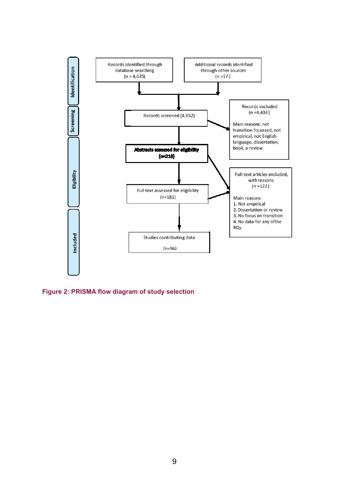

<span id="page-9-0"></span>**Figure 2: PRISMA flow diagram of study selection**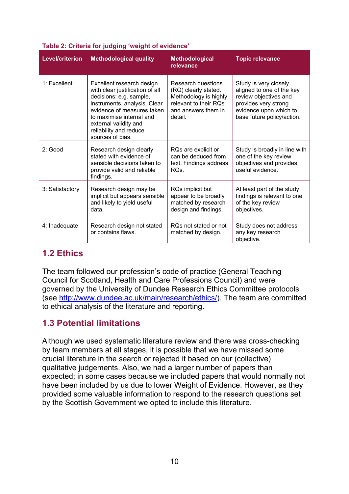| <b>Level/criterion</b> | <b>Methodological quality</b>                                                                                                                                                                                                                            | <b>Methodological</b><br>relevance                                                                                             | <b>Topic relevance</b>                                                                                                                                      |
|------------------------|----------------------------------------------------------------------------------------------------------------------------------------------------------------------------------------------------------------------------------------------------------|--------------------------------------------------------------------------------------------------------------------------------|-------------------------------------------------------------------------------------------------------------------------------------------------------------|
| 1: Excellent           | Excellent research design<br>with clear justification of all<br>decisions: e.g. sample,<br>instruments, analysis. Clear<br>evidence of measures taken<br>to maximise internal and<br>external validity and<br>reliability and reduce<br>sources of bias. | Research questions<br>(RQ) clearly stated.<br>Methodology is highly<br>relevant to their RQs<br>and answers them in<br>detail. | Study is very closely<br>aligned to one of the key<br>review objectives and<br>provides very strong<br>evidence upon which to<br>base future policy/action. |
| $2:$ Good              | Research design clearly<br>stated with evidence of<br>sensible decisions taken to<br>provide valid and reliable<br>findings.                                                                                                                             | RQs are explicit or<br>can be deduced from<br>text. Findings address<br>RO <sub>s</sub>                                        | Study is broadly in line with<br>one of the key review<br>objectives and provides<br>useful evidence.                                                       |
| 3: Satisfactory        | Research design may be<br>implicit but appears sensible<br>and likely to yield useful<br>data.                                                                                                                                                           | RQs implicit but<br>appear to be broadly<br>matched by research<br>design and findings.                                        | At least part of the study<br>findings is relevant to one<br>of the key review<br>objectives.                                                               |
| 4: Inadequate          | Research design not stated<br>or contains flaws.                                                                                                                                                                                                         | ROs not stated or not<br>matched by design.                                                                                    | Study does not address<br>any key research<br>objective.                                                                                                    |

#### **Table 2: Criteria for judging 'weight of evidence'**

# <span id="page-10-0"></span>**1.2 Ethics**

The team followed our profession's code of practice (General Teaching Council for Scotland, Health and Care Professions Council) and were governed by the University of Dundee Research Ethics Committee protocols (see [https://www.dundee.ac.uk/research/governance-policy/ethicsprocedures/](http://www.dundee.ac.uk/main/research/ethics/) ethics/). The team are committed to ethical analysis of the literature and reporting.

# <span id="page-10-1"></span>**1.3 Potential limitations**

Although we used systematic literature review and there was cross-checking by team members at all stages, it is possible that we have missed some crucial literature in the search or rejected it based on our (collective) qualitative judgements. Also, we had a larger number of papers than expected; in some cases because we included papers that would normally not have been included by us due to lower Weight of Evidence. However, as they provided some valuable information to respond to the research questions set by the Scottish Government we opted to include this literature.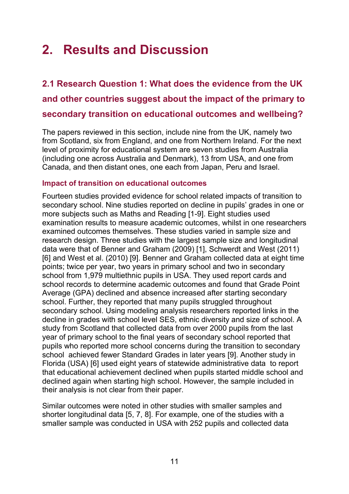# <span id="page-11-0"></span>**2. Results and Discussion**

<span id="page-11-1"></span>**2.1 Research Question 1: What does the evidence from the UK and other countries suggest about the impact of the primary to secondary transition on educational outcomes and wellbeing?** 

The papers reviewed in this section, include nine from the UK, namely two from Scotland, six from England, and one from Northern Ireland. For the next level of proximity for educational system are seven studies from Australia (including one across Australia and Denmark), 13 from USA, and one from Canada, and then distant ones, one each from Japan, Peru and Israel.

#### **Impact of transition on educational outcomes**

Fourteen studies provided evidence for school related impacts of transition to secondary school. Nine studies reported on decline in pupils' grades in one or more subjects such as Maths and Reading [1-9]. Eight studies used examination results to measure academic outcomes, whilst in one researchers examined outcomes themselves. These studies varied in sample size and research design. Three studies with the largest sample size and longitudinal data were that of Benner and Graham (2009) [1], Schwerdt and West (2011) [6] and West et al. (2010) [9]. Benner and Graham collected data at eight time points; twice per year, two years in primary school and two in secondary school from 1,979 multiethnic pupils in USA. They used report cards and school records to determine academic outcomes and found that Grade Point Average (GPA) declined and absence increased after starting secondary school. Further, they reported that many pupils struggled throughout secondary school. Using modeling analysis researchers reported links in the decline in grades with school level SES, ethnic diversity and size of school. A study from Scotland that collected data from over 2000 pupils from the last year of primary school to the final years of secondary school reported that pupils who reported more school concerns during the transition to secondary school achieved fewer Standard Grades in later years [9]. Another study in Florida (USA) [6] used eight years of statewide administrative data to report that educational achievement declined when pupils started middle school and declined again when starting high school. However, the sample included in their analysis is not clear from their paper.

Similar outcomes were noted in other studies with smaller samples and shorter longitudinal data [5, 7, 8]. For example, one of the studies with a smaller sample was conducted in USA with 252 pupils and collected data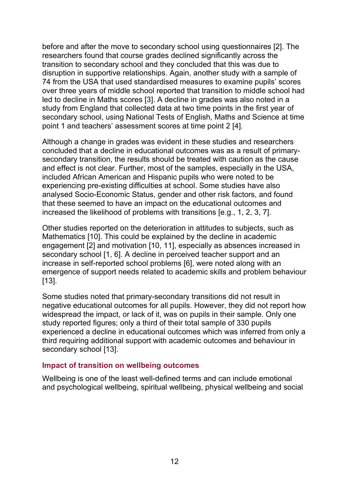before and after the move to secondary school using questionnaires [2]. The researchers found that course grades declined significantly across the transition to secondary school and they concluded that this was due to disruption in supportive relationships. Again, another study with a sample of 74 from the USA that used standardised measures to examine pupils' scores over three years of middle school reported that transition to middle school had led to decline in Maths scores [3]. A decline in grades was also noted in a study from England that collected data at two time points in the first year of secondary school, using National Tests of English, Maths and Science at time point 1 and teachers' assessment scores at time point 2 [4].

Although a change in grades was evident in these studies and researchers concluded that a decline in educational outcomes was as a result of primarysecondary transition, the results should be treated with caution as the cause and effect is not clear. Further, most of the samples, especially in the USA, included African American and Hispanic pupils who were noted to be experiencing pre-existing difficulties at school. Some studies have also analysed Socio-Economic Status, gender and other risk factors, and found that these seemed to have an impact on the educational outcomes and increased the likelihood of problems with transitions [e.g., 1, 2, 3, 7].

Other studies reported on the deterioration in attitudes to subjects, such as Mathematics [10]. This could be explained by the decline in academic engagement [2] and motivation [10, 11], especially as absences increased in secondary school [1, 6]. A decline in perceived teacher support and an increase in self-reported school problems [6], were noted along with an emergence of support needs related to academic skills and problem behaviour [13].

Some studies noted that primary-secondary transitions did not result in negative educational outcomes for all pupils. However, they did not report how widespread the impact, or lack of it, was on pupils in their sample. Only one study reported figures; only a third of their total sample of 330 pupils experienced a decline in educational outcomes which was inferred from only a third requiring additional support with academic outcomes and behaviour in secondary school [13].

#### **Impact of transition on wellbeing outcomes**

Wellbeing is one of the least well-defined terms and can include emotional and psychological wellbeing, spiritual wellbeing, physical wellbeing and social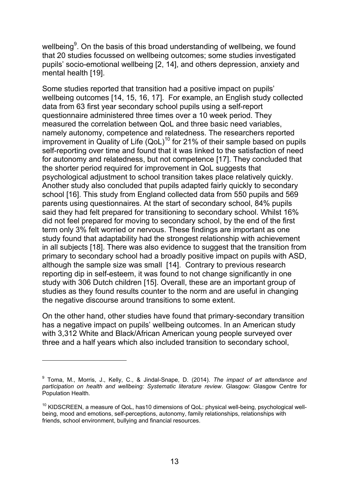wellbeing<sup>9</sup>. On the basis of this broad understanding of wellbeing, we found that 20 studies focussed on wellbeing outcomes; some studies investigated pupils' socio-emotional wellbeing [2, 14], and others depression, anxiety and mental health [19].

Some studies reported that transition had a positive impact on pupils' wellbeing outcomes [14, 15, 16, 17]. For example, an English study collected data from 63 first year secondary school pupils using a self-report questionnaire administered three times over a 10 week period. They measured the correlation between QoL and three basic need variables, namely autonomy, competence and relatedness. The researchers reported improvement in Quality of Life  $(QoL)^{10}$  for 21% of their sample based on pupils self-reporting over time and found that it was linked to the satisfaction of need for autonomy and relatedness, but not competence [17]. They concluded that the shorter period required for improvement in QoL suggests that psychological adjustment to school transition takes place relatively quickly. Another study also concluded that pupils adapted fairly quickly to secondary school [16]. This study from England collected data from 550 pupils and 569 parents using questionnaires. At the start of secondary school, 84% pupils said they had felt prepared for transitioning to secondary school. Whilst 16% did not feel prepared for moving to secondary school, by the end of the first term only 3% felt worried or nervous. These findings are important as one study found that adaptability had the strongest relationship with achievement in all subjects [18]. There was also evidence to suggest that the transition from primary to secondary school had a broadly positive impact on pupils with ASD, although the sample size was small [14]. Contrary to previous research reporting dip in self-esteem, it was found to not change significantly in one study with 306 Dutch children [15]. Overall, these are an important group of studies as they found results counter to the norm and are useful in changing the negative discourse around transitions to some extent.

On the other hand, other studies have found that primary-secondary transition has a negative impact on pupils' wellbeing outcomes. In an American study with 3,312 White and Black/African American young people surveyed over three and a half years which also included transition to secondary school,

-

<sup>9</sup> Toma, M., Morris, J., Kelly, C., & Jindal-Snape, D. (2014). *The impact of art attendance and participation on health and wellbeing: Systematic literature review*. Glasgow: Glasgow Centre for Population Health.

<sup>&</sup>lt;sup>10</sup> KIDSCREEN, a measure of QoL, has10 dimensions of QoL: physical well-being, psychological wellbeing, mood and emotions, self-perceptions, autonomy, family relationships, relationships with friends, school environment, bullying and financial resources.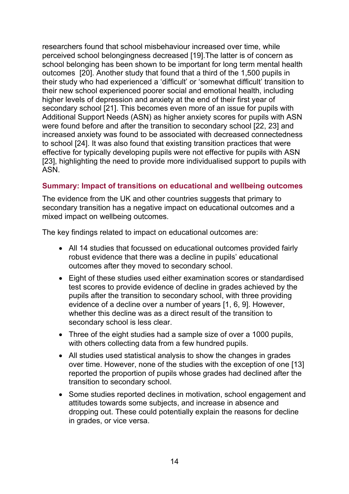researchers found that school misbehaviour increased over time, while perceived school belongingness decreased [19].The latter is of concern as school belonging has been shown to be important for long term mental health outcomes [20]. Another study that found that a third of the 1,500 pupils in their study who had experienced a 'difficult' or 'somewhat difficult' transition to their new school experienced poorer social and emotional health, including higher levels of depression and anxiety at the end of their first year of secondary school [21]. This becomes even more of an issue for pupils with Additional Support Needs (ASN) as higher anxiety scores for pupils with ASN were found before and after the transition to secondary school [22, 23] and increased anxiety was found to be associated with decreased connectedness to school [24]. It was also found that existing transition practices that were effective for typically developing pupils were not effective for pupils with ASN [23], highlighting the need to provide more individualised support to pupils with ASN.

#### **Summary: Impact of transitions on educational and wellbeing outcomes**

The evidence from the UK and other countries suggests that primary to secondary transition has a negative impact on educational outcomes and a mixed impact on wellbeing outcomes.

The key findings related to impact on educational outcomes are:

- All 14 studies that focussed on educational outcomes provided fairly robust evidence that there was a decline in pupils' educational outcomes after they moved to secondary school.
- Eight of these studies used either examination scores or standardised test scores to provide evidence of decline in grades achieved by the pupils after the transition to secondary school, with three providing evidence of a decline over a number of years [1, 6, 9]. However, whether this decline was as a direct result of the transition to secondary school is less clear.
- Three of the eight studies had a sample size of over a 1000 pupils, with others collecting data from a few hundred pupils.
- All studies used statistical analysis to show the changes in grades over time. However, none of the studies with the exception of one [13] reported the proportion of pupils whose grades had declined after the transition to secondary school.
- Some studies reported declines in motivation, school engagement and attitudes towards some subjects, and increase in absence and dropping out. These could potentially explain the reasons for decline in grades, or vice versa.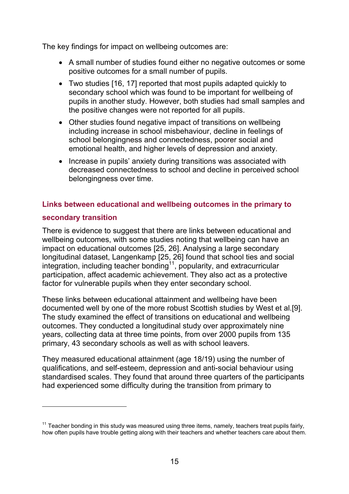The key findings for impact on wellbeing outcomes are:

- A small number of studies found either no negative outcomes or some positive outcomes for a small number of pupils.
- Two studies [16, 17] reported that most pupils adapted quickly to secondary school which was found to be important for wellbeing of pupils in another study. However, both studies had small samples and the positive changes were not reported for all pupils.
- Other studies found negative impact of transitions on wellbeing including increase in school misbehaviour, decline in feelings of school belongingness and connectedness, poorer social and emotional health, and higher levels of depression and anxiety.
- Increase in pupils' anxiety during transitions was associated with decreased connectedness to school and decline in perceived school belongingness over time.

#### **Links between educational and wellbeing outcomes in the primary to**

#### **secondary transition**

 $\overline{a}$ 

There is evidence to suggest that there are links between educational and wellbeing outcomes, with some studies noting that wellbeing can have an impact on educational outcomes [25, 26]. Analysing a large secondary longitudinal dataset, Langenkamp [25, 26] found that school ties and social integration, including teacher bonding<sup>11</sup>, popularity, and extracurricular participation, affect academic achievement. They also act as a protective factor for vulnerable pupils when they enter secondary school.

These links between educational attainment and wellbeing have been documented well by one of the more robust Scottish studies by West et al.[9]. The study examined the effect of transitions on educational and wellbeing outcomes. They conducted a longitudinal study over approximately nine years, collecting data at three time points, from over 2000 pupils from 135 primary, 43 secondary schools as well as with school leavers.

They measured educational attainment (age 18/19) using the number of qualifications, and self-esteem, depression and anti-social behaviour using standardised scales. They found that around three quarters of the participants had experienced some difficulty during the transition from primary to

 $11$  Teacher bonding in this study was measured using three items, namely, teachers treat pupils fairly, how often pupils have trouble getting along with their teachers and whether teachers care about them.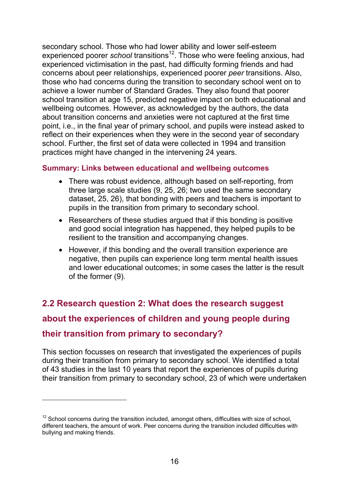secondary school. Those who had lower ability and lower self-esteem experienced poorer *school* transitions<sup>12</sup>. Those who were feeling anxious, had experienced victimisation in the past, had difficulty forming friends and had concerns about peer relationships, experienced poorer *peer* transitions. Also, those who had concerns during the transition to secondary school went on to achieve a lower number of Standard Grades. They also found that poorer school transition at age 15, predicted negative impact on both educational and wellbeing outcomes. However, as acknowledged by the authors, the data about transition concerns and anxieties were not captured at the first time point, i.e., in the final year of primary school, and pupils were instead asked to reflect on their experiences when they were in the second year of secondary school. Further, the first set of data were collected in 1994 and transition practices might have changed in the intervening 24 years.

#### **Summary: Links between educational and wellbeing outcomes**

- There was robust evidence, although based on self-reporting, from three large scale studies (9, 25, 26; two used the same secondary dataset, 25, 26), that bonding with peers and teachers is important to pupils in the transition from primary to secondary school.
- Researchers of these studies argued that if this bonding is positive and good social integration has happened, they helped pupils to be resilient to the transition and accompanying changes.
- However, if this bonding and the overall transition experience are negative, then pupils can experience long term mental health issues and lower educational outcomes; in some cases the latter is the result of the former (9).

# <span id="page-16-0"></span>**2.2 Research question 2: What does the research suggest about the experiences of children and young people during their transition from primary to secondary?**

This section focusses on research that investigated the experiences of pupils during their transition from primary to secondary school. We identified a total of 43 studies in the last 10 years that report the experiences of pupils during their transition from primary to secondary school, 23 of which were undertaken

 $\overline{a}$ 

 $12$  School concerns during the transition included, amongst others, difficulties with size of school, different teachers, the amount of work. Peer concerns during the transition included difficulties with bullying and making friends.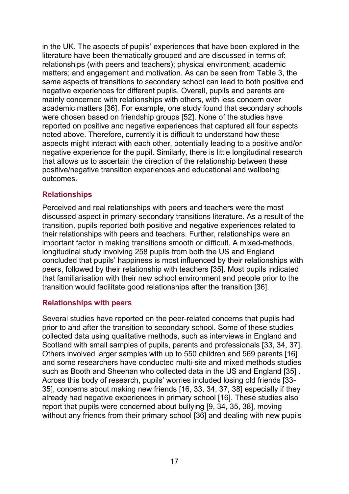in the UK. The aspects of pupils' experiences that have been explored in the literature have been thematically grouped and are discussed in terms of: relationships (with peers and teachers); physical environment; academic matters; and engagement and motivation. As can be seen from Table 3, the same aspects of transitions to secondary school can lead to both positive and negative experiences for different pupils, Overall, pupils and parents are mainly concerned with relationships with others, with less concern over academic matters [36]. For example, one study found that secondary schools were chosen based on friendship groups [52]. None of the studies have reported on positive and negative experiences that captured all four aspects noted above. Therefore, currently it is difficult to understand how these aspects might interact with each other, potentially leading to a positive and/or negative experience for the pupil. Similarly, there is little longitudinal research that allows us to ascertain the direction of the relationship between these positive/negative transition experiences and educational and wellbeing outcomes.

#### **Relationships**

Perceived and real relationships with peers and teachers were the most discussed aspect in primary-secondary transitions literature. As a result of the transition, pupils reported both positive and negative experiences related to their relationships with peers and teachers. Further, relationships were an important factor in making transitions smooth or difficult. A mixed-methods, longitudinal study involving 258 pupils from both the US and England concluded that pupils' happiness is most influenced by their relationships with peers, followed by their relationship with teachers [35]. Most pupils indicated that familiarisation with their new school environment and people prior to the transition would facilitate good relationships after the transition [36].

#### **Relationships with peers**

Several studies have reported on the peer-related concerns that pupils had prior to and after the transition to secondary school. Some of these studies collected data using qualitative methods, such as interviews in England and Scotland with small samples of pupils, parents and professionals [33, 34, 37]. Others involved larger samples with up to 550 children and 569 parents [16] and some researchers have conducted multi-site and mixed methods studies such as Booth and Sheehan who collected data in the US and England [35] . Across this body of research, pupils' worries included losing old friends [33- 35], concerns about making new friends [16, 33, 34, 37, 38] especially if they already had negative experiences in primary school [16]. These studies also report that pupils were concerned about bullying [9, 34, 35, 38], moving without any friends from their primary school [36] and dealing with new pupils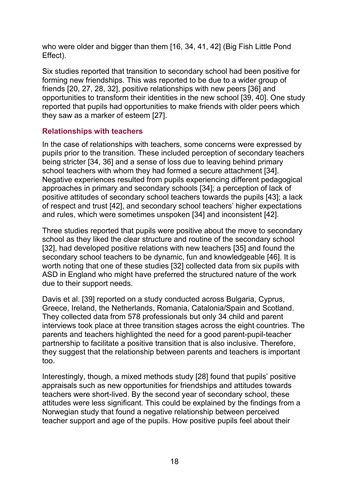who were older and bigger than them [16, 34, 41, 42] (Big Fish Little Pond Effect).

Six studies reported that transition to secondary school had been positive for forming new friendships. This was reported to be due to a wider group of friends [20, 27, 28, 32], positive relationships with new peers [36] and opportunities to transform their identities in the new school [39, 40]. One study reported that pupils had opportunities to make friends with older peers which they saw as a marker of esteem [27].

#### **Relationships with teachers**

In the case of relationships with teachers, some concerns were expressed by pupils prior to the transition. These included perception of secondary teachers being stricter [34, 36] and a sense of loss due to leaving behind primary school teachers with whom they had formed a secure attachment [34]. Negative experiences resulted from pupils experiencing different pedagogical approaches in primary and secondary schools [34]; a perception of lack of positive attitudes of secondary school teachers towards the pupils [43]; a lack of respect and trust [42], and secondary school teachers' higher expectations and rules, which were sometimes unspoken [34] and inconsistent [42].

Three studies reported that pupils were positive about the move to secondary school as they liked the clear structure and routine of the secondary school [32], had developed positive relations with new teachers [35] and found the secondary school teachers to be dynamic, fun and knowledgeable [46]. It is worth noting that one of these studies [32] collected data from six pupils with ASD in England who might have preferred the structured nature of the work due to their support needs.

Davis et al. [39] reported on a study conducted across Bulgaria, Cyprus, Greece, Ireland, the Netherlands, Romania, Catalonia/Spain and Scotland. They collected data from 578 professionals but only 34 child and parent interviews took place at three transition stages across the eight countries. The parents and teachers highlighted the need for a good parent-pupil-teacher partnership to facilitate a positive transition that is also inclusive. Therefore, they suggest that the relationship between parents and teachers is important too.

Interestingly, though, a mixed methods study [28] found that pupils' positive appraisals such as new opportunities for friendships and attitudes towards teachers were short-lived. By the second year of secondary school, these attitudes were less significant. This could be explained by the findings from a Norwegian study that found a negative relationship between perceived teacher support and age of the pupils. How positive pupils feel about their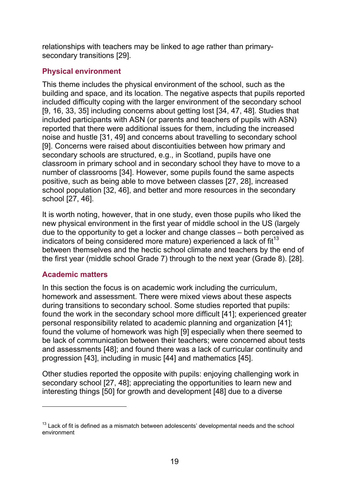relationships with teachers may be linked to age rather than primarysecondary transitions [29].

## **Physical environment**

This theme includes the physical environment of the school, such as the building and space, and its location. The negative aspects that pupils reported included difficulty coping with the larger environment of the secondary school [9, 16, 33, 35] including concerns about getting lost [34, 47, 48]. Studies that included participants with ASN (or parents and teachers of pupils with ASN) reported that there were additional issues for them, including the increased noise and hustle [31, 49] and concerns about travelling to secondary school [9]. Concerns were raised about discontiuities between how primary and secondary schools are structured, e.g., in Scotland, pupils have one classroom in primary school and in secondary school they have to move to a number of classrooms [34]. However, some pupils found the same aspects positive, such as being able to move between classes [27, 28], increased school population [32, 46], and better and more resources in the secondary school [27, 46].

It is worth noting, however, that in one study, even those pupils who liked the new physical environment in the first year of middle school in the US (largely due to the opportunity to get a locker and change classes – both perceived as indicators of being considered more mature) experienced a lack of  $fit<sup>13</sup>$ between themselves and the hectic school climate and teachers by the end of the first year (middle school Grade 7) through to the next year (Grade 8). [28].

## **Academic matters**

 $\overline{a}$ 

In this section the focus is on academic work including the curriculum, homework and assessment. There were mixed views about these aspects during transitions to secondary school. Some studies reported that pupils: found the work in the secondary school more difficult [41]; experienced greater personal responsibility related to academic planning and organization [41]; found the volume of homework was high [9] especially when there seemed to be lack of communication between their teachers; were concerned about tests and assessments [48]; and found there was a lack of curricular continuity and progression [43], including in music [44] and mathematics [45].

Other studies reported the opposite with pupils: enjoying challenging work in secondary school [27, 48]; appreciating the opportunities to learn new and interesting things [50] for growth and development [48] due to a diverse

 $13$  Lack of fit is defined as a mismatch between adolescents' developmental needs and the school environment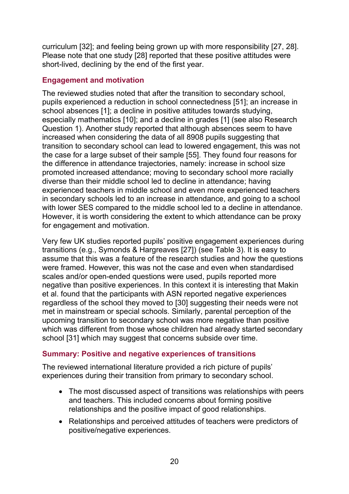curriculum [32]; and feeling being grown up with more responsibility [27, 28]. Please note that one study [28] reported that these positive attitudes were short-lived, declining by the end of the first year.

#### **Engagement and motivation**

The reviewed studies noted that after the transition to secondary school, pupils experienced a reduction in school connectedness [51]; an increase in school absences [1]; a decline in positive attitudes towards studying, especially mathematics [10]; and a decline in grades [1] (see also Research Question 1). Another study reported that although absences seem to have increased when considering the data of all 8908 pupils suggesting that transition to secondary school can lead to lowered engagement, this was not the case for a large subset of their sample [55]. They found four reasons for the difference in attendance trajectories, namely: increase in school size promoted increased attendance; moving to secondary school more racially diverse than their middle school led to decline in attendance; having experienced teachers in middle school and even more experienced teachers in secondary schools led to an increase in attendance, and going to a school with lower SES compared to the middle school led to a decline in attendance. However, it is worth considering the extent to which attendance can be proxy for engagement and motivation.

Very few UK studies reported pupils' positive engagement experiences during transitions (e.g., Symonds & Hargreaves [27]) (see Table 3). It is easy to assume that this was a feature of the research studies and how the questions were framed. However, this was not the case and even when standardised scales and/or open-ended questions were used, pupils reported more negative than positive experiences. In this context it is interesting that Makin et al. found that the participants with ASN reported negative experiences regardless of the school they moved to [30] suggesting their needs were not met in mainstream or special schools. Similarly, parental perception of the upcoming transition to secondary school was more negative than positive which was different from those whose children had already started secondary school [31] which may suggest that concerns subside over time.

## **Summary: Positive and negative experiences of transitions**

The reviewed international literature provided a rich picture of pupils' experiences during their transition from primary to secondary school.

- The most discussed aspect of transitions was relationships with peers and teachers. This included concerns about forming positive relationships and the positive impact of good relationships.
- Relationships and perceived attitudes of teachers were predictors of positive/negative experiences.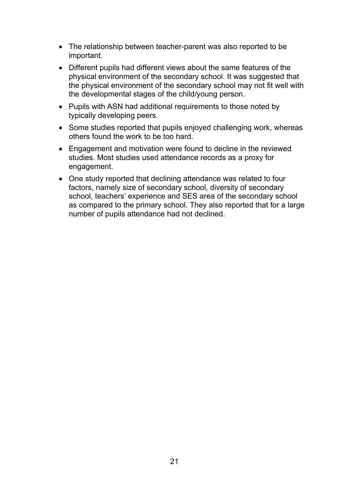- The relationship between teacher-parent was also reported to be important.
- Different pupils had different views about the same features of the physical environment of the secondary school. It was suggested that the physical environment of the secondary school may not fit well with the developmental stages of the child/young person.
- Pupils with ASN had additional requirements to those noted by typically developing peers.
- Some studies reported that pupils enjoyed challenging work, whereas others found the work to be too hard.
- Engagement and motivation were found to decline in the reviewed studies. Most studies used attendance records as a proxy for engagement.
- <span id="page-21-0"></span> One study reported that declining attendance was related to four factors, namely size of secondary school, diversity of secondary school, teachers' experience and SES area of the secondary school as compared to the primary school. They also reported that for a large number of pupils attendance had not declined.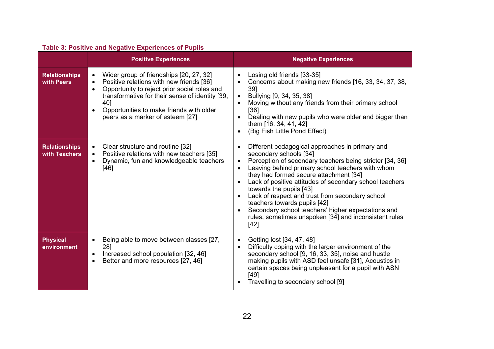| <b>Table 3: Positive and Negative Experiences of Pupils</b> |  |  |  |
|-------------------------------------------------------------|--|--|--|
|-------------------------------------------------------------|--|--|--|

|                                       | rapic J. I OSILIVE and Negative Experiences Of Fapils<br><b>Positive Experiences</b>                                                                                                                                                                                                                                              | <b>Negative Experiences</b>                                                                                                                                                                                                                                                                                                                                                                                                                                                                                                                                     |
|---------------------------------------|-----------------------------------------------------------------------------------------------------------------------------------------------------------------------------------------------------------------------------------------------------------------------------------------------------------------------------------|-----------------------------------------------------------------------------------------------------------------------------------------------------------------------------------------------------------------------------------------------------------------------------------------------------------------------------------------------------------------------------------------------------------------------------------------------------------------------------------------------------------------------------------------------------------------|
| <b>Relationships</b><br>with Peers    | Wider group of friendships [20, 27, 32]<br>$\bullet$<br>Positive relations with new friends [36]<br>$\bullet$<br>Opportunity to reject prior social roles and<br>$\bullet$<br>transformative for their sense of identity [39,<br>40]<br>Opportunities to make friends with older<br>$\bullet$<br>peers as a marker of esteem [27] | Losing old friends [33-35]<br>Concerns about making new friends [16, 33, 34, 37, 38,<br>39]<br>Bullying [9, 34, 35, 38]<br>Moving without any friends from their primary school<br>[36]<br>Dealing with new pupils who were older and bigger than<br>them [16, 34, 41, 42]<br>(Big Fish Little Pond Effect)                                                                                                                                                                                                                                                     |
| <b>Relationships</b><br>with Teachers | Clear structure and routine [32]<br>$\bullet$<br>Positive relations with new teachers [35]<br>$\bullet$<br>Dynamic, fun and knowledgeable teachers<br>$\bullet$<br>[46]                                                                                                                                                           | Different pedagogical approaches in primary and<br>$\bullet$<br>secondary schools [34]<br>Perception of secondary teachers being stricter [34, 36]<br>Leaving behind primary school teachers with whom<br>they had formed secure attachment [34]<br>Lack of positive attitudes of secondary school teachers<br>$\bullet$<br>towards the pupils [43]<br>Lack of respect and trust from secondary school<br>teachers towards pupils [42]<br>Secondary school teachers' higher expectations and<br>rules, sometimes unspoken [34] and inconsistent rules<br>$[42]$ |
| <b>Physical</b><br>environment        | Being able to move between classes [27,<br>$\bullet$<br>281<br>Increased school population [32, 46]<br>$\bullet$<br>Better and more resources [27, 46]                                                                                                                                                                            | Getting lost [34, 47, 48]<br>$\bullet$<br>Difficulty coping with the larger environment of the<br>$\bullet$<br>secondary school [9, 16, 33, 35], noise and hustle<br>making pupils with ASD feel unsafe [31], Acoustics in<br>certain spaces being unpleasant for a pupil with ASN<br>[49]<br>Travelling to secondary school [9]                                                                                                                                                                                                                                |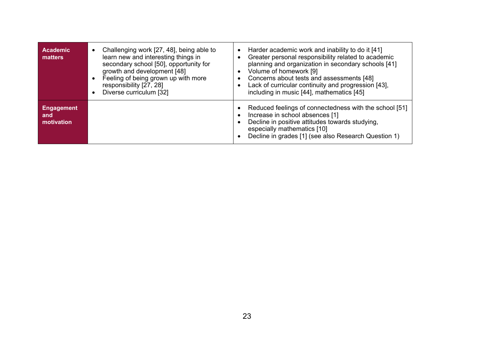| <b>Academic</b><br>matters             | Challenging work [27, 48], being able to<br>learn new and interesting things in<br>secondary school [50], opportunity for<br>growth and development [48]<br>Feeling of being grown up with more<br>responsibility [27, 28]<br>Diverse curriculum [32] | Harder academic work and inability to do it [41]<br>$\bullet$<br>Greater personal responsibility related to academic<br>$\bullet$<br>planning and organization in secondary schools [41]<br>Volume of homework [9]<br>$\bullet$<br>Concerns about tests and assessments [48]<br>$\bullet$<br>Lack of curricular continuity and progression [43],<br>including in music [44], mathematics [45] |
|----------------------------------------|-------------------------------------------------------------------------------------------------------------------------------------------------------------------------------------------------------------------------------------------------------|-----------------------------------------------------------------------------------------------------------------------------------------------------------------------------------------------------------------------------------------------------------------------------------------------------------------------------------------------------------------------------------------------|
| <b>Engagement</b><br>and<br>motivation |                                                                                                                                                                                                                                                       | Reduced feelings of connectedness with the school [51]<br>Increase in school absences [1]<br>Decline in positive attitudes towards studying,<br>especially mathematics [10]<br>Decline in grades [1] (see also Research Question 1)                                                                                                                                                           |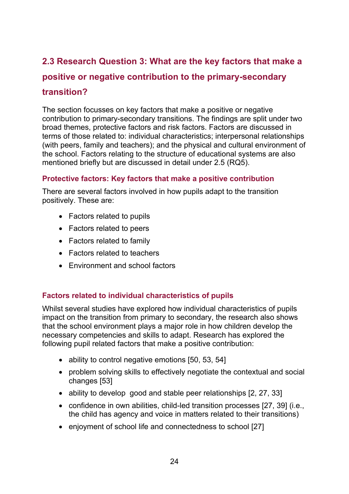# **2.3 Research Question 3: What are the key factors that make a positive or negative contribution to the primary-secondary transition?**

#### The section focusses on key factors that make a positive or negative contribution to primary-secondary transitions. The findings are split under two broad themes, protective factors and risk factors. Factors are discussed in terms of those related to: individual characteristics; interpersonal relationships (with peers, family and teachers); and the physical and cultural environment of the school. Factors relating to the structure of educational systems are also mentioned briefly but are discussed in detail under 2.5 (RQ5).

#### **Protective factors: Key factors that make a positive contribution**

There are several factors involved in how pupils adapt to the transition positively. These are:

- Factors related to pupils
- Factors related to peers
- Factors related to family
- Factors related to teachers
- Environment and school factors

#### **Factors related to individual characteristics of pupils**

Whilst several studies have explored how individual characteristics of pupils impact on the transition from primary to secondary, the research also shows that the school environment plays a major role in how children develop the necessary competencies and skills to adapt. Research has explored the following pupil related factors that make a positive contribution:

- ability to control negative emotions [50, 53, 54]
- problem solving skills to effectively negotiate the contextual and social changes [53]
- ability to develop good and stable peer relationships [2, 27, 33]
- confidence in own abilities, child-led transition processes [27, 39] (i.e., the child has agency and voice in matters related to their transitions)
- enjoyment of school life and connectedness to school [27]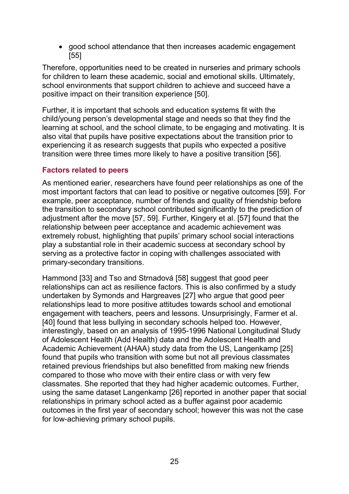good school attendance that then increases academic engagement [55]

Therefore, opportunities need to be created in nurseries and primary schools for children to learn these academic, social and emotional skills. Ultimately, school environments that support children to achieve and succeed have a positive impact on their transition experience [50].

Further, it is important that schools and education systems fit with the child/young person's developmental stage and needs so that they find the learning at school, and the school climate, to be engaging and motivating. It is also vital that pupils have positive expectations about the transition prior to experiencing it as research suggests that pupils who expected a positive transition were three times more likely to have a positive transition [56].

#### **Factors related to peers**

As mentioned earier, researchers have found peer relationships as one of the most important factors that can lead to positive or negative outcomes [59]. For example, peer acceptance, number of friends and quality of friendship before the transition to secondary school contributed significantly to the prediction of adjustment after the move [57, 59]. Further, Kingery et al. [57] found that the relationship between peer acceptance and academic achievement was extremely robust, highlighting that pupils' primary school social interactions play a substantial role in their academic success at secondary school by serving as a protective factor in coping with challenges associated with primary-secondary transitions.

Hammond [33] and Tso and Strnadová [58] suggest that good peer relationships can act as resilience factors. This is also confirmed by a study undertaken by Symonds and Hargreaves [27] who argue that good peer relationships lead to more positive attitudes towards school and emotional engagement with teachers, peers and lessons. Unsurprisingly, Farmer et al. [40] found that less bullying in secondary schools helped too. However, interestingly, based on an analysis of 1995-1996 National Longitudinal Study of Adolescent Health (Add Health) data and the Adolescent Health and Academic Achievement (AHAA) study data from the US, Langenkamp [25] found that pupils who transition with some but not all previous classmates retained previous friendships but also benefitted from making new friends compared to those who move with their entire class or with very few classmates. She reported that they had higher academic outcomes. Further, using the same dataset Langenkamp [26] reported in another paper that social relationships in primary school acted as a buffer against poor academic outcomes in the first year of secondary school; however this was not the case for low-achieving primary school pupils.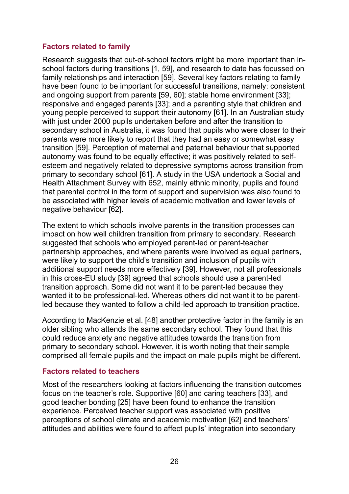#### **Factors related to family**

Research suggests that out-of-school factors might be more important than inschool factors during transitions [1, 59], and research to date has focussed on family relationships and interaction [59]. Several key factors relating to family have been found to be important for successful transitions, namely: consistent and ongoing support from parents [59, 60]; stable home environment [33]; responsive and engaged parents [33]; and a parenting style that children and young people perceived to support their autonomy [61]. In an Australian study with just under 2000 pupils undertaken before and after the transition to secondary school in Australia, it was found that pupils who were closer to their parents were more likely to report that they had an easy or somewhat easy transition [59]. Perception of maternal and paternal behaviour that supported autonomy was found to be equally effective; it was positively related to selfesteem and negatively related to depressive symptoms across transition from primary to secondary school [61]. A study in the USA undertook a Social and Health Attachment Survey with 652, mainly ethnic minority, pupils and found that parental control in the form of support and supervision was also found to be associated with higher levels of academic motivation and lower levels of negative behaviour [62].

The extent to which schools involve parents in the transition processes can impact on how well children transition from primary to secondary. Research suggested that schools who employed parent-led or parent-teacher partnership approaches, and where parents were involved as equal partners, were likely to support the child's transition and inclusion of pupils with additional support needs more effectively [39]. However, not all professionals in this cross-EU study [39] agreed that schools should use a parent-led transition approach. Some did not want it to be parent-led because they wanted it to be professional-led. Whereas others did not want it to be parentled because they wanted to follow a child-led approach to transition practice.

According to MacKenzie et al. [48] another protective factor in the family is an older sibling who attends the same secondary school. They found that this could reduce anxiety and negative attitudes towards the transition from primary to secondary school. However, it is worth noting that their sample comprised all female pupils and the impact on male pupils might be different.

#### **Factors related to teachers**

Most of the researchers looking at factors influencing the transition outcomes focus on the teacher's role. Supportive [60] and caring teachers [33], and good teacher bonding [25] have been found to enhance the transition experience. Perceived teacher support was associated with positive perceptions of school climate and academic motivation [62] and teachers' attitudes and abilities were found to affect pupils' integration into secondary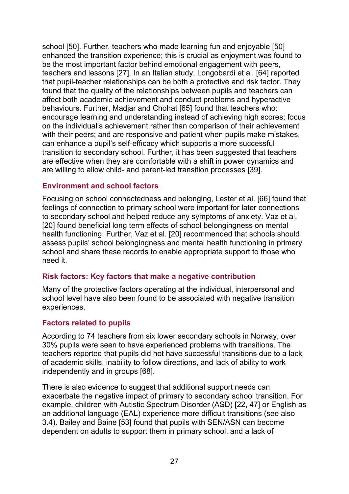school [50]. Further, teachers who made learning fun and enjoyable [50] enhanced the transition experience; this is crucial as enjoyment was found to be the most important factor behind emotional engagement with peers, teachers and lessons [27]. In an Italian study, Longobardi et al. [64] reported that pupil-teacher relationships can be both a protective and risk factor. They found that the quality of the relationships between pupils and teachers can affect both academic achievement and conduct problems and hyperactive behaviours. Further, Madjar and Chohat [65] found that teachers who: encourage learning and understanding instead of achieving high scores; focus on the individual's achievement rather than comparison of their achievement with their peers; and are responsive and patient when pupils make mistakes, can enhance a pupil's self-efficacy which supports a more successful transition to secondary school. Further, it has been suggested that teachers are effective when they are comfortable with a shift in power dynamics and are willing to allow child- and parent-led transition processes [39].

### **Environment and school factors**

Focusing on school connectedness and belonging, Lester et al. [66] found that feelings of connection to primary school were important for later connections to secondary school and helped reduce any symptoms of anxiety. Vaz et al. [20] found beneficial long term effects of school belongingness on mental health functioning. Further, Vaz et al. [20] recommended that schools should assess pupils' school belongingness and mental health functioning in primary school and share these records to enable appropriate support to those who need it.

#### **Risk factors: Key factors that make a negative contribution**

Many of the protective factors operating at the individual, interpersonal and school level have also been found to be associated with negative transition experiences.

## **Factors related to pupils**

According to 74 teachers from six lower secondary schools in Norway, over 30% pupils were seen to have experienced problems with transitions. The teachers reported that pupils did not have successful transitions due to a lack of academic skills, inability to follow directions, and lack of ability to work independently and in groups [68].

There is also evidence to suggest that additional support needs can exacerbate the negative impact of primary to secondary school transition. For example, children with Autistic Spectrum Disorder (ASD) [22, 47] or English as an additional language (EAL) experience more difficult transitions (see also 3.4). Bailey and Baine [53] found that pupils with SEN/ASN can become dependent on adults to support them in primary school, and a lack of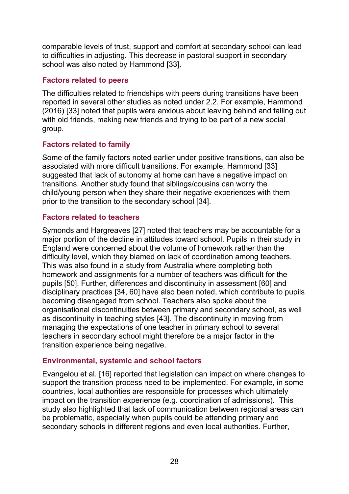comparable levels of trust, support and comfort at secondary school can lead to difficulties in adjusting. This decrease in pastoral support in secondary school was also noted by Hammond [33].

#### **Factors related to peers**

The difficulties related to friendships with peers during transitions have been reported in several other studies as noted under 2.2. For example, Hammond (2016) [33] noted that pupils were anxious about leaving behind and falling out with old friends, making new friends and trying to be part of a new social group.

## **Factors related to family**

Some of the family factors noted earlier under positive transitions, can also be associated with more difficult transitions. For example, Hammond [33] suggested that lack of autonomy at home can have a negative impact on transitions. Another study found that siblings/cousins can worry the child/young person when they share their negative experiences with them prior to the transition to the secondary school [34].

### **Factors related to teachers**

Symonds and Hargreaves [27] noted that teachers may be accountable for a major portion of the decline in attitudes toward school. Pupils in their study in England were concerned about the volume of homework rather than the difficulty level, which they blamed on lack of coordination among teachers. This was also found in a study from Australia where completing both homework and assignments for a number of teachers was difficult for the pupils [50]. Further, differences and discontinuity in assessment [60] and disciplinary practices [34, 60] have also been noted, which contribute to pupils becoming disengaged from school. Teachers also spoke about the organisational discontinuities between primary and secondary school, as well as discontinuity in teaching styles [43]. The discontinuity in moving from managing the expectations of one teacher in primary school to several teachers in secondary school might therefore be a major factor in the transition experience being negative.

#### **Environmental, systemic and school factors**

Evangelou et al. [16] reported that legislation can impact on where changes to support the transition process need to be implemented. For example, in some countries, local authorities are responsible for processes which ultimately impact on the transition experience (e.g. coordination of admissions). This study also highlighted that lack of communication between regional areas can be problematic, especially when pupils could be attending primary and secondary schools in different regions and even local authorities. Further,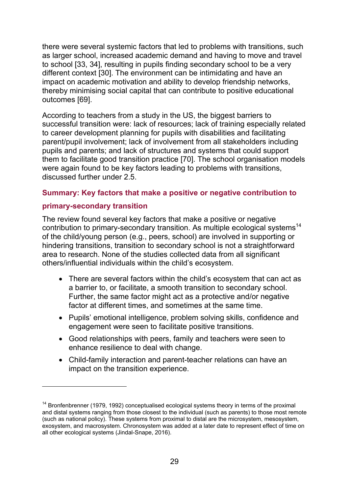there were several systemic factors that led to problems with transitions, such as larger school, increased academic demand and having to move and travel to school [33, 34], resulting in pupils finding secondary school to be a very different context [30]. The environment can be intimidating and have an impact on academic motivation and ability to develop friendship networks, thereby minimising social capital that can contribute to positive educational outcomes [69].

According to teachers from a study in the US, the biggest barriers to successful transition were: lack of resources; lack of training especially related to career development planning for pupils with disabilities and facilitating parent/pupil involvement; lack of involvement from all stakeholders including pupils and parents; and lack of structures and systems that could support them to facilitate good transition practice [70]. The school organisation models were again found to be key factors leading to problems with transitions, discussed further under 2.5.

#### **Summary: Key factors that make a positive or negative contribution to**

#### **primary-secondary transition**

 $\overline{a}$ 

The review found several key factors that make a positive or negative contribution to primary-secondary transition. As multiple ecological systems<sup>14</sup> of the child/young person (e.g., peers, school) are involved in supporting or hindering transitions, transition to secondary school is not a straightforward area to research. None of the studies collected data from all significant others/influential individuals within the child's ecosystem.

- There are several factors within the child's ecosystem that can act as a barrier to, or facilitate, a smooth transition to secondary school. Further, the same factor might act as a protective and/or negative factor at different times, and sometimes at the same time.
- Pupils' emotional intelligence, problem solving skills, confidence and engagement were seen to facilitate positive transitions.
- Good relationships with peers, family and teachers were seen to enhance resilience to deal with change.
- Child-family interaction and parent-teacher relations can have an impact on the transition experience.

<sup>&</sup>lt;sup>14</sup> Bronfenbrenner (1979, 1992) conceptualised ecological systems theory in terms of the proximal and distal systems ranging from those closest to the individual (such as parents) to those most remote (such as national policy). These systems from proximal to distal are the microsystem, mesosystem, exosystem, and macrosystem. Chronosystem was added at a later date to represent effect of time on all other ecological systems (Jindal-Snape, 2016).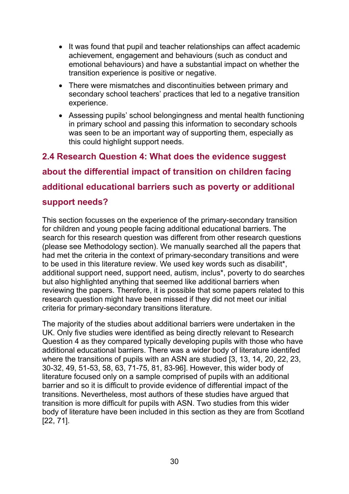- It was found that pupil and teacher relationships can affect academic achievement, engagement and behaviours (such as conduct and emotional behaviours) and have a substantial impact on whether the transition experience is positive or negative.
- There were mismatches and discontinuities between primary and secondary school teachers' practices that led to a negative transition experience.
- Assessing pupils' school belongingness and mental health functioning in primary school and passing this information to secondary schools was seen to be an important way of supporting them, especially as this could highlight support needs.

<span id="page-30-0"></span>**2.4 Research Question 4: What does the evidence suggest about the differential impact of transition on children facing additional educational barriers such as poverty or additional support needs?** 

This section focusses on the experience of the primary-secondary transition for children and young people facing additional educational barriers. The search for this research question was different from other research questions (please see Methodology section). We manually searched all the papers that had met the criteria in the context of primary-secondary transitions and were to be used in this literature review. We used key words such as disabilit\*, additional support need, support need, autism, inclus\*, poverty to do searches but also highlighted anything that seemed like additional barriers when reviewing the papers. Therefore, it is possible that some papers related to this research question might have been missed if they did not meet our initial criteria for primary-secondary transitions literature.

The majority of the studies about additional barriers were undertaken in the UK. Only five studies were identified as being directly relevant to Research Question 4 as they compared typically developing pupils with those who have additional educational barriers. There was a wider body of literature identifed where the transitions of pupils with an ASN are studied [3, 13, 14, 20, 22, 23, 30-32, 49, 51-53, 58, 63, 71-75, 81, 83-96]. However, this wider body of literature focused only on a sample comprised of pupils with an additional barrier and so it is difficult to provide evidence of differential impact of the transitions. Nevertheless, most authors of these studies have argued that transition is more difficult for pupils with ASN. Two studies from this wider body of literature have been included in this section as they are from Scotland [22, 71].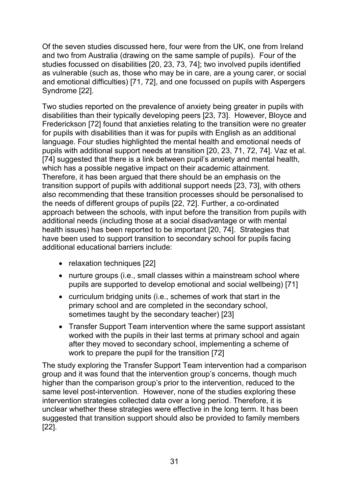Of the seven studies discussed here, four were from the UK, one from Ireland and two from Australia (drawing on the same sample of pupils). Four of the studies focussed on disabilities [20, 23, 73, 74]; two involved pupils identified as vulnerable (such as, those who may be in care, are a young carer, or social and emotional difficulties) [71, 72], and one focussed on pupils with Aspergers Syndrome [22].

Two studies reported on the prevalence of anxiety being greater in pupils with disabilities than their typically developing peers [23, 73]. However, Bloyce and Frederickson [72] found that anxieties relating to the transition were no greater for pupils with disabilities than it was for pupils with English as an additional language. Four studies highlighted the mental health and emotional needs of pupils with additional support needs at transition [20, 23, 71, 72, 74]. Vaz et al. [74] suggested that there is a link between pupil's anxiety and mental health, which has a possible negative impact on their academic attainment. Therefore, it has been argued that there should be an emphasis on the transition support of pupils with additional support needs [23, 73], with others also recommending that these transition processes should be personalised to the needs of different groups of pupils [22, 72]. Further, a co-ordinated approach between the schools, with input before the transition from pupils with additional needs (including those at a social disadvantage or with mental health issues) has been reported to be important [20, 74]. Strategies that have been used to support transition to secondary school for pupils facing additional educational barriers include:

- relaxation techniques [22]
- nurture groups (i.e., small classes within a mainstream school where pupils are supported to develop emotional and social wellbeing) [71]
- curriculum bridging units (i.e., schemes of work that start in the primary school and are completed in the secondary school, sometimes taught by the secondary teacher) [23]
- Transfer Support Team intervention where the same support assistant worked with the pupils in their last terms at primary school and again after they moved to secondary school, implementing a scheme of work to prepare the pupil for the transition [72]

The study exploring the Transfer Support Team intervention had a comparison group and it was found that the intervention group's concerns, though much higher than the comparison group's prior to the intervention, reduced to the same level post-intervention. However, none of the studies exploring these intervention strategies collected data over a long period. Therefore, it is unclear whether these strategies were effective in the long term. It has been suggested that transition support should also be provided to family members [22].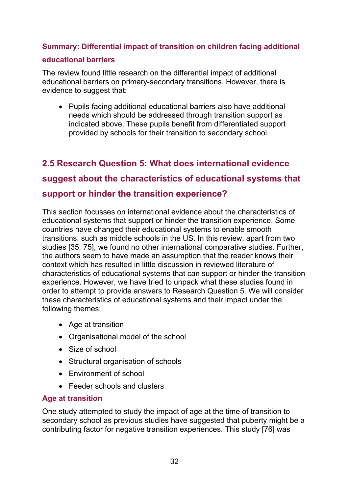### **Summary: Differential impact of transition on children facing additional**

#### **educational barriers**

The review found little research on the differential impact of additional educational barriers on primary-secondary transitions. However, there is evidence to suggest that:

 Pupils facing additional educational barriers also have additional needs which should be addressed through transition support as indicated above. These pupils benefit from differentiated support provided by schools for their transition to secondary school.

# <span id="page-32-0"></span>**2.5 Research Question 5: What does international evidence**

# **suggest about the characteristics of educational systems that**

## **support or hinder the transition experience?**

This section focusses on international evidence about the characteristics of educational systems that support or hinder the transition experience. Some countries have changed their educational systems to enable smooth transitions, such as middle schools in the US. In this review, apart from two studies [35, 75], we found no other international comparative studies. Further, the authors seem to have made an assumption that the reader knows their context which has resulted in little discussion in reviewed literature of characteristics of educational systems that can support or hinder the transition experience. However, we have tried to unpack what these studies found in order to attempt to provide answers to Research Question 5. We will consider these characteristics of educational systems and their impact under the following themes:

- Age at transition
- Organisational model of the school
- Size of school
- Structural organisation of schools
- Environment of school
- Feeder schools and clusters

## **Age at transition**

One study attempted to study the impact of age at the time of transition to secondary school as previous studies have suggested that puberty might be a contributing factor for negative transition experiences. This study [76] was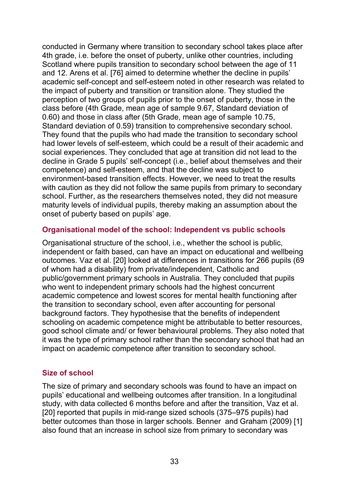conducted in Germany where transition to secondary school takes place after 4th grade, i.e. before the onset of puberty, unlike other countries, including Scotland where pupils transition to secondary school between the age of 11 and 12. Arens et al. [76] aimed to determine whether the decline in pupils' academic self-concept and self-esteem noted in other research was related to the impact of puberty and transition or transition alone. They studied the perception of two groups of pupils prior to the onset of puberty, those in the class before (4th Grade, mean age of sample 9.67, Standard deviation of 0.60) and those in class after (5th Grade, mean age of sample 10.75, Standard deviation of 0.59) transition to comprehensive secondary school. They found that the pupils who had made the transition to secondary school had lower levels of self-esteem, which could be a result of their academic and social experiences. They concluded that age at transition did not lead to the decline in Grade 5 pupils' self-concept (i.e., belief about themselves and their competence) and self-esteem, and that the decline was subject to environment-based transition effects. However, we need to treat the results with caution as they did not follow the same pupils from primary to secondary school. Further, as the researchers themselves noted, they did not measure maturity levels of individual pupils, thereby making an assumption about the onset of puberty based on pupils' age.

#### **Organisational model of the school: Independent vs public schools**

Organisational structure of the school, i.e., whether the school is public, independent or faith based, can have an impact on educational and wellbeing outcomes. Vaz et al. [20] looked at differences in transitions for 266 pupils (69 of whom had a disability) from private/independent, Catholic and public/government primary schools in Australia. They concluded that pupils who went to independent primary schools had the highest concurrent academic competence and lowest scores for mental health functioning after the transition to secondary school, even after accounting for personal background factors. They hypothesise that the benefits of independent schooling on academic competence might be attributable to better resources, good school climate and/ or fewer behavioural problems. They also noted that it was the type of primary school rather than the secondary school that had an impact on academic competence after transition to secondary school.

#### **Size of school**

The size of primary and secondary schools was found to have an impact on pupils' educational and wellbeing outcomes after transition. In a longitudinal study, with data collected 6 months before and after the transition, Vaz et al. [20] reported that pupils in mid-range sized schools (375–975 pupils) had better outcomes than those in larger schools. Benner and Graham (2009) [1] also found that an increase in school size from primary to secondary was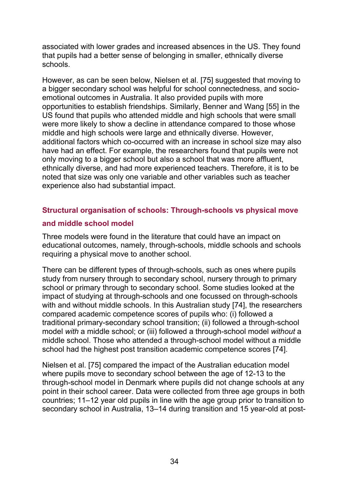associated with lower grades and increased absences in the US. They found that pupils had a better sense of belonging in smaller, ethnically diverse schools.

However, as can be seen below, Nielsen et al. [75] suggested that moving to a bigger secondary school was helpful for school connectedness, and socioemotional outcomes in Australia. It also provided pupils with more opportunities to establish friendships. Similarly, Benner and Wang [55] in the US found that pupils who attended middle and high schools that were small were more likely to show a decline in attendance compared to those whose middle and high schools were large and ethnically diverse. However, additional factors which co-occurred with an increase in school size may also have had an effect. For example, the researchers found that pupils were not only moving to a bigger school but also a school that was more affluent, ethnically diverse, and had more experienced teachers. Therefore, it is to be noted that size was only one variable and other variables such as teacher experience also had substantial impact.

### **Structural organisation of schools: Through-schools vs physical move**

#### **and middle school model**

Three models were found in the literature that could have an impact on educational outcomes, namely, through-schools, middle schools and schools requiring a physical move to another school.

There can be different types of through-schools, such as ones where pupils study from nursery through to secondary school, nursery through to primary school or primary through to secondary school. Some studies looked at the impact of studying at through-schools and one focussed on through-schools with and without middle schools. In this Australian study [74], the researchers compared academic competence scores of pupils who: (i) followed a traditional primary-secondary school transition; (ii) followed a through-school model *with* a middle school; or (iii) followed a through-school model *without* a middle school. Those who attended a through-school model without a middle school had the highest post transition academic competence scores [74].

Nielsen et al. [75] compared the impact of the Australian education model where pupils move to secondary school between the age of 12-13 to the through-school model in Denmark where pupils did not change schools at any point in their school career. Data were collected from three age groups in both countries; 11–12 year old pupils in line with the age group prior to transition to secondary school in Australia, 13–14 during transition and 15 year-old at post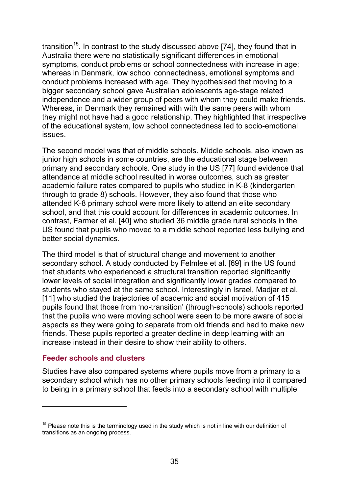transition<sup>15</sup>. In contrast to the study discussed above [74], they found that in Australia there were no statistically significant differences in emotional symptoms, conduct problems or school connectedness with increase in age; whereas in Denmark, low school connectedness, emotional symptoms and conduct problems increased with age. They hypothesised that moving to a bigger secondary school gave Australian adolescents age-stage related independence and a wider group of peers with whom they could make friends. Whereas, in Denmark they remained with with the same peers with whom they might not have had a good relationship. They highlighted that irrespective of the educational system, low school connectedness led to socio-emotional issues.

The second model was that of middle schools. Middle schools, also known as junior high schools in some countries, are the educational stage between primary and secondary schools. One study in the US [77] found evidence that attendance at middle school resulted in worse outcomes, such as greater academic failure rates compared to pupils who studied in K-8 (kindergarten through to grade 8) schools. However, they also found that those who attended K-8 primary school were more likely to attend an elite secondary school, and that this could account for differences in academic outcomes. In contrast, Farmer et al. [40] who studied 36 middle grade rural schools in the US found that pupils who moved to a middle school reported less bullying and better social dynamics.

The third model is that of structural change and movement to another secondary school. A study conducted by Felmlee et al. [69] in the US found that students who experienced a structural transition reported significantly lower levels of social integration and significantly lower grades compared to students who stayed at the same school. Interestingly in Israel, Madjar et al. [11] who studied the trajectories of academic and social motivation of 415 pupils found that those from 'no-transition' (through-schools) schools reported that the pupils who were moving school were seen to be more aware of social aspects as they were going to separate from old friends and had to make new friends. These pupils reported a greater decline in deep learning with an increase instead in their desire to show their ability to others.

#### **Feeder schools and clusters**

 $\overline{a}$ 

Studies have also compared systems where pupils move from a primary to a secondary school which has no other primary schools feeding into it compared to being in a primary school that feeds into a secondary school with multiple

 $15$  Please note this is the terminology used in the study which is not in line with our definition of transitions as an ongoing process.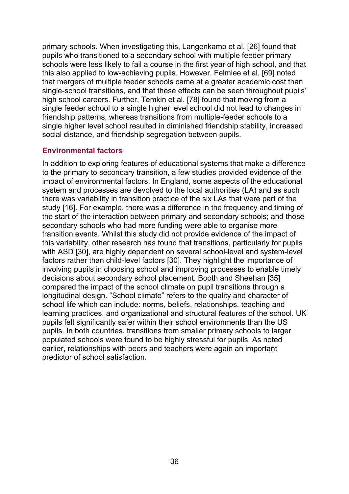primary schools. When investigating this, Langenkamp et al. [26] found that pupils who transitioned to a secondary school with multiple feeder primary schools were less likely to fail a course in the first year of high school, and that this also applied to low-achieving pupils. However, Felmlee et al. [69] noted that mergers of multiple feeder schools came at a greater academic cost than single-school transitions, and that these effects can be seen throughout pupils' high school careers. Further, Temkin et al. [78] found that moving from a single feeder school to a single higher level school did not lead to changes in friendship patterns, whereas transitions from multiple-feeder schools to a single higher level school resulted in diminished friendship stability, increased social distance, and friendship segregation between pupils.

#### **Environmental factors**

In addition to exploring features of educational systems that make a difference to the primary to secondary transition, a few studies provided evidence of the impact of environmental factors. In England, some aspects of the educational system and processes are devolved to the local authorities (LA) and as such there was variability in transition practice of the six LAs that were part of the study [16]. For example, there was a difference in the frequency and timing of the start of the interaction between primary and secondary schools; and those secondary schools who had more funding were able to organise more transition events. Whilst this study did not provide evidence of the impact of this variability, other research has found that transitions, particularly for pupils with ASD [30], are highly dependent on several school-level and system-level factors rather than child-level factors [30]. They highlight the importance of involving pupils in choosing school and improving processes to enable timely decisions about secondary school placement. Booth and Sheehan [35] compared the impact of the school climate on pupil transitions through a longitudinal design. "School climate" refers to the quality and character of school life which can include: norms, beliefs, relationships, teaching and learning practices, and organizational and structural features of the school. UK pupils felt significantly safer within their school environments than the US pupils. In both countries, transitions from smaller primary schools to larger populated schools were found to be highly stressful for pupils. As noted earlier, relationships with peers and teachers were again an important predictor of school satisfaction.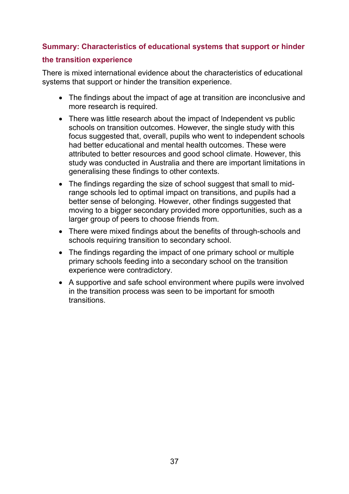### **Summary: Characteristics of educational systems that support or hinder**

#### **the transition experience**

There is mixed international evidence about the characteristics of educational systems that support or hinder the transition experience.

- The findings about the impact of age at transition are inconclusive and more research is required.
- There was little research about the impact of Independent vs public schools on transition outcomes. However, the single study with this focus suggested that, overall, pupils who went to independent schools had better educational and mental health outcomes. These were attributed to better resources and good school climate. However, this study was conducted in Australia and there are important limitations in generalising these findings to other contexts.
- The findings regarding the size of school suggest that small to midrange schools led to optimal impact on transitions, and pupils had a better sense of belonging. However, other findings suggested that moving to a bigger secondary provided more opportunities, such as a larger group of peers to choose friends from.
- There were mixed findings about the benefits of through-schools and schools requiring transition to secondary school.
- The findings regarding the impact of one primary school or multiple primary schools feeding into a secondary school on the transition experience were contradictory.
- A supportive and safe school environment where pupils were involved in the transition process was seen to be important for smooth transitions.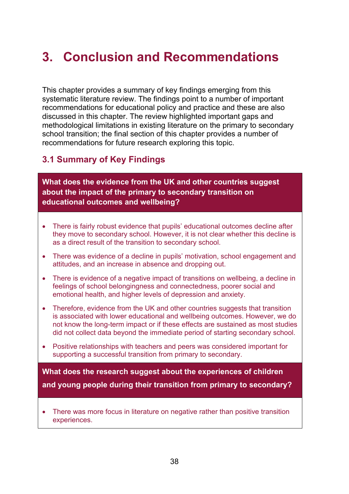# <span id="page-38-0"></span>**3. Conclusion and Recommendations**

This chapter provides a summary of key findings emerging from this systematic literature review. The findings point to a number of important recommendations for educational policy and practice and these are also discussed in this chapter. The review highlighted important gaps and methodological limitations in existing literature on the primary to secondary school transition; the final section of this chapter provides a number of recommendations for future research exploring this topic.

# <span id="page-38-1"></span>**3.1 Summary of Key Findings**

**What does the evidence from the UK and other countries suggest about the impact of the primary to secondary transition on educational outcomes and wellbeing?**

- There is fairly robust evidence that pupils' educational outcomes decline after they move to secondary school. However, it is not clear whether this decline is as a direct result of the transition to secondary school.
- There was evidence of a decline in pupils' motivation, school engagement and attitudes, and an increase in absence and dropping out.
- There is evidence of a negative impact of transitions on wellbeing, a decline in feelings of school belongingness and connectedness, poorer social and emotional health, and higher levels of depression and anxiety.
- Therefore, evidence from the UK and other countries suggests that transition is associated with lower educational and wellbeing outcomes. However, we do not know the long-term impact or if these effects are sustained as most studies did not collect data beyond the immediate period of starting secondary school.
- Positive relationships with teachers and peers was considered important for supporting a successful transition from primary to secondary.

**What does the research suggest about the experiences of children and young people during their transition from primary to secondary?** 

 There was more focus in literature on negative rather than positive transition experiences.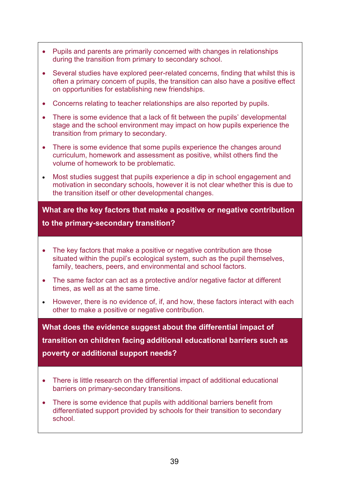- Pupils and parents are primarily concerned with changes in relationships during the transition from primary to secondary school.
- Several studies have explored peer-related concerns, finding that whilst this is often a primary concern of pupils, the transition can also have a positive effect on opportunities for establishing new friendships.
- Concerns relating to teacher relationships are also reported by pupils.
- There is some evidence that a lack of fit between the pupils' developmental stage and the school environment may impact on how pupils experience the transition from primary to secondary.
- There is some evidence that some pupils experience the changes around curriculum, homework and assessment as positive, whilst others find the volume of homework to be problematic.
- Most studies suggest that pupils experience a dip in school engagement and motivation in secondary schools, however it is not clear whether this is due to the transition itself or other developmental changes.

#### **What are the key factors that make a positive or negative contribution**

#### **to the primary-secondary transition?**

- The key factors that make a positive or negative contribution are those situated within the pupil's ecological system, such as the pupil themselves, family, teachers, peers, and environmental and school factors.
- The same factor can act as a protective and/or negative factor at different times, as well as at the same time.
- However, there is no evidence of, if, and how, these factors interact with each other to make a positive or negative contribution.

**What does the evidence suggest about the differential impact of transition on children facing additional educational barriers such as poverty or additional support needs?** 

- There is little research on the differential impact of additional educational barriers on primary-secondary transitions.
- There is some evidence that pupils with additional barriers benefit from differentiated support provided by schools for their transition to secondary school.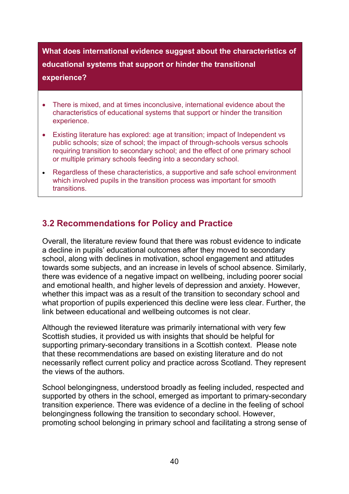**What does international evidence suggest about the characteristics of educational systems that support or hinder the transitional experience?** 

- There is mixed, and at times inconclusive, international evidence about the characteristics of educational systems that support or hinder the transition experience.
- Existing literature has explored: age at transition; impact of Independent vs public schools; size of school; the impact of through-schools versus schools requiring transition to secondary school; and the effect of one primary school or multiple primary schools feeding into a secondary school.
- Regardless of these characteristics, a supportive and safe school environment which involved pupils in the transition process was important for smooth **transitions**

# <span id="page-40-0"></span>**3.2 Recommendations for Policy and Practice**

Overall, the literature review found that there was robust evidence to indicate a decline in pupils' educational outcomes after they moved to secondary school, along with declines in motivation, school engagement and attitudes towards some subjects, and an increase in levels of school absence. Similarly, there was evidence of a negative impact on wellbeing, including poorer social and emotional health, and higher levels of depression and anxiety. However, whether this impact was as a result of the transition to secondary school and what proportion of pupils experienced this decline were less clear. Further, the link between educational and wellbeing outcomes is not clear.

Although the reviewed literature was primarily international with very few Scottish studies, it provided us with insights that should be helpful for supporting primary-secondary transitions in a Scottish context. Please note that these recommendations are based on existing literature and do not necessarily reflect current policy and practice across Scotland. They represent the views of the authors.

School belongingness, understood broadly as feeling included, respected and supported by others in the school, emerged as important to primary-secondary transition experience. There was evidence of a decline in the feeling of school belongingness following the transition to secondary school. However, promoting school belonging in primary school and facilitating a strong sense of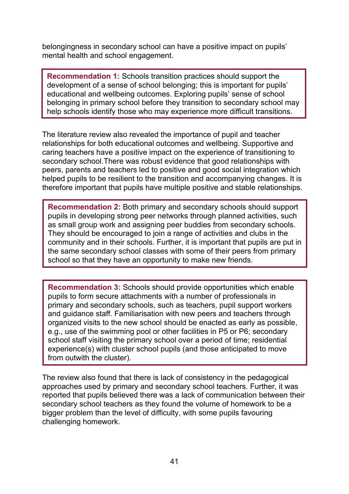belongingness in secondary school can have a positive impact on pupils' mental health and school engagement.

**Recommendation 1:** Schools transition practices should support the development of a sense of school belonging; this is important for pupils' educational and wellbeing outcomes. Exploring pupils' sense of school belonging in primary school before they transition to secondary school may help schools identify those who may experience more difficult transitions.

The literature review also revealed the importance of pupil and teacher relationships for both educational outcomes and wellbeing. Supportive and caring teachers have a positive impact on the experience of transitioning to secondary school.There was robust evidence that good relationships with peers, parents and teachers led to positive and good social integration which helped pupils to be resilient to the transition and accompanying changes. It is therefore important that pupils have multiple positive and stable relationships.

**Recommendation 2:** Both primary and secondary schools should support pupils in developing strong peer networks through planned activities, such as small group work and assigning peer buddies from secondary schools. They should be encouraged to join a range of activities and clubs in the community and in their schools. Further, it is important that pupils are put in the same secondary school classes with some of their peers from primary school so that they have an opportunity to make new friends.

**Recommendation 3:** Schools should provide opportunities which enable pupils to form secure attachments with a number of professionals in primary and secondary schools, such as teachers, pupil support workers and guidance staff. Familiarisation with new peers and teachers through organized visits to the new school should be enacted as early as possible, e.g., use of the swimming pool or other facilities in P5 or P6; secondary school staff visiting the primary school over a period of time; residential experience(s) with cluster school pupils (and those anticipated to move from outwith the cluster).

The review also found that there is lack of consistency in the pedagogical approaches used by primary and secondary school teachers. Further, it was reported that pupils believed there was a lack of communication between their secondary school teachers as they found the volume of homework to be a bigger problem than the level of difficulty, with some pupils favouring challenging homework.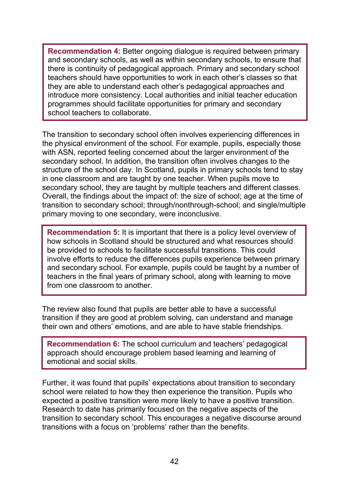**Recommendation 4:** Better ongoing dialogue is required between primary and secondary schools, as well as within secondary schools, to ensure that there is continuity of pedagogical approach. Primary and secondary school teachers should have opportunities to work in each other's classes so that they are able to understand each other's pedagogical approaches and introduce more consistency. Local authorities and initial teacher education programmes should facilitate opportunities for primary and secondary school teachers to collaborate.

The transition to secondary school often involves experiencing differences in the physical environment of the school. For example, pupils, especially those with ASN, reported feeling concerned about the larger environment of the secondary school. In addition, the transition often involves changes to the structure of the school day. In Scotland, pupils in primary schools tend to stay in one classroom and are taught by one teacher. When pupils move to secondary school, they are taught by multiple teachers and different classes. Overall, the findings about the impact of: the size of school; age at the time of transition to secondary school; through/nonthrough-school; and single/multiple primary moving to one secondary, were inconclusive.

**Recommendation 5:** It is important that there is a policy level overview of how schools in Scotland should be structured and what resources should be provided to schools to facilitate successful transitions. This could involve efforts to reduce the differences pupils experience between primary and secondary school. For example, pupils could be taught by a number of teachers in the final years of primary school, along with learning to move from one classroom to another.

The review also found that pupils are better able to have a successful transition if they are good at problem solving, can understand and manage their own and others' emotions, and are able to have stable friendships.

**Recommendation 6:** The school curriculum and teachers' pedagogical approach should encourage problem based learning and learning of emotional and social skills.

Further, it was found that pupils' expectations about transition to secondary school were related to how they then experience the transition. Pupils who expected a positive transition were more likely to have a positive transition. Research to date has primarily focused on the negative aspects of the transition to secondary school. This encourages a negative discourse around transitions with a focus on 'problems' rather than the benefits.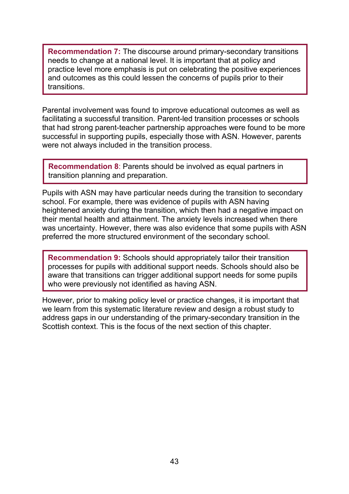**Recommendation 7:** The discourse around primary-secondary transitions needs to change at a national level. It is important that at policy and practice level more emphasis is put on celebrating the positive experiences and outcomes as this could lessen the concerns of pupils prior to their transitions.

Parental involvement was found to improve educational outcomes as well as facilitating a successful transition. Parent-led transition processes or schools that had strong parent-teacher partnership approaches were found to be more successful in supporting pupils, especially those with ASN. However, parents were not always included in the transition process.

**Recommendation 8**: Parents should be involved as equal partners in transition planning and preparation.

Pupils with ASN may have particular needs during the transition to secondary school. For example, there was evidence of pupils with ASN having heightened anxiety during the transition, which then had a negative impact on their mental health and attainment. The anxiety levels increased when there was uncertainty. However, there was also evidence that some pupils with ASN preferred the more structured environment of the secondary school.

**Recommendation 9:** Schools should appropriately tailor their transition processes for pupils with additional support needs. Schools should also be aware that transitions can trigger additional support needs for some pupils who were previously not identified as having ASN.

<span id="page-43-0"></span>However, prior to making policy level or practice changes, it is important that we learn from this systematic literature review and design a robust study to address gaps in our understanding of the primary-secondary transition in the Scottish context. This is the focus of the next section of this chapter.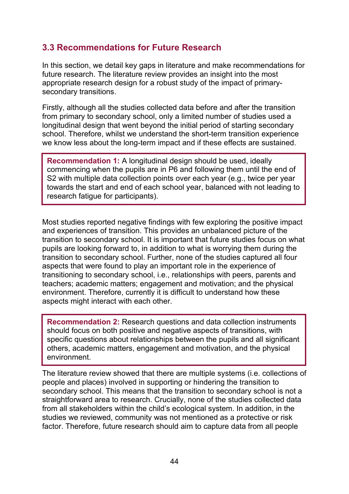# **3.3 Recommendations for Future Research**

In this section, we detail key gaps in literature and make recommendations for future research. The literature review provides an insight into the most appropriate research design for a robust study of the impact of primarysecondary transitions.

Firstly, although all the studies collected data before and after the transition from primary to secondary school, only a limited number of studies used a longitudinal design that went beyond the initial period of starting secondary school. Therefore, whilst we understand the short-term transition experience we know less about the long-term impact and if these effects are sustained.

**Recommendation 1:** A longitudinal design should be used, ideally commencing when the pupils are in P6 and following them until the end of S2 with multiple data collection points over each year (e.g., twice per year towards the start and end of each school year, balanced with not leading to research fatigue for participants).

Most studies reported negative findings with few exploring the positive impact and experiences of transition. This provides an unbalanced picture of the transition to secondary school. It is important that future studies focus on what pupils are looking forward to, in addition to what is worrying them during the transition to secondary school. Further, none of the studies captured all four aspects that were found to play an important role in the experience of transitioning to secondary school, i.e., relationships with peers, parents and teachers; academic matters; engagement and motivation; and the physical environment. Therefore, currently it is difficult to understand how these aspects might interact with each other.

**Recommendation 2:** Research questions and data collection instruments should focus on both positive and negative aspects of transitions, with specific questions about relationships between the pupils and all significant others, academic matters, engagement and motivation, and the physical environment.

The literature review showed that there are multiple systems (i.e. collections of people and places) involved in supporting or hindering the transition to secondary school. This means that the transition to secondary school is not a straightforward area to research. Crucially, none of the studies collected data from all stakeholders within the child's ecological system. In addition, in the studies we reviewed, community was not mentioned as a protective or risk factor. Therefore, future research should aim to capture data from all people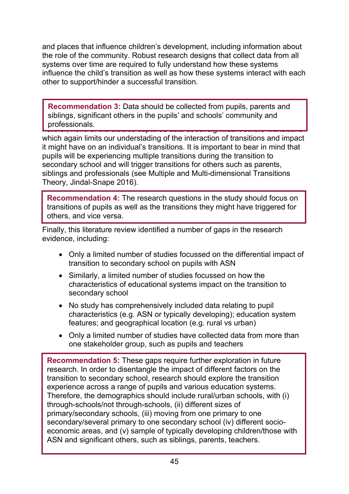and places that influence children's development, including information about the role of the community. Robust research designs that collect data from all systems over time are required to fully understand how these systems influence the child's transition as well as how these systems interact with each other to support/hinder a successful transition.

Furthermore of the studies captured data about significant others transitions **Recommendation 3:** Data should be collected from pupils, parents and siblings, significant others in the pupils' and schools' community and professionals.

which again limits our understading of the interaction of transitions and impact it might have on an individual's transitions. It is important to bear in mind that pupils will be experiencing multiple transitions during the transition to secondary school and will trigger transitions for others such as parents, siblings and professionals (see Multiple and Multi-dimensional Transitions Theory, Jindal-Snape 2016).

**Recommendation 4:** The research questions in the study should focus on transitions of pupils as well as the transitions they might have triggered for others, and vice versa.

Finally, this literature review identified a number of gaps in the research evidence, including:

- Only a limited number of studies focussed on the differential impact of transition to secondary school on pupils with ASN
- Similarly, a limited number of studies focussed on how the characteristics of educational systems impact on the transition to secondary school
- No study has comprehensively included data relating to pupil characteristics (e.g. ASN or typically developing); education system features; and geographical location (e.g. rural vs urban)
- Only a limited number of studies have collected data from more than one stakeholder group, such as pupils and teachers

**Recommendation 5:** These gaps require further exploration in future research. In order to disentangle the impact of different factors on the transition to secondary school, research should explore the transition experience across a range of pupils and various education systems. Therefore, the demographics should include rural/urban schools, with (i) through-schools/not through-schools, (ii) different sizes of primary/secondary schools, (iii) moving from one primary to one secondary/several primary to one secondary school (iv) different socioeconomic areas, and (v) sample of typically developing children/those with ASN and significant others, such as siblings, parents, teachers.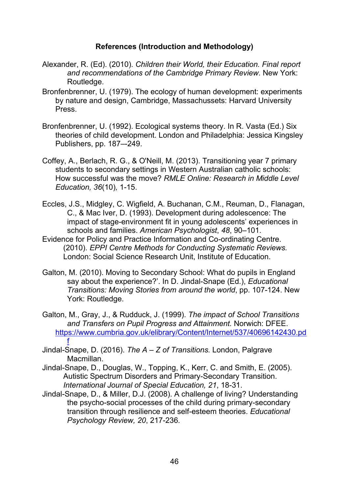#### **References (Introduction and Methodology)**

- Alexander, R. (Ed). (2010). *Children their World, their Education. Final report and recommendations of the Cambridge Primary Review*. New York: Routledge.
- Bronfenbrenner, U. (1979). The ecology of human development: experiments by nature and design, Cambridge, Massachussets: Harvard University Press.
- Bronfenbrenner, U. (1992). Ecological systems theory. In R. Vasta (Ed.) Six theories of child development. London and Philadelphia: Jessica Kingsley Publishers, pp. 187–-249.
- Coffey, A., Berlach, R. G., & O'Neill, M. (2013). Transitioning year 7 primary students to secondary settings in Western Australian catholic schools: How successful was the move? *RMLE Online: Research in Middle Level Education, 36*(10)*,* 1-15.
- Eccles, J.S., Midgley, C. Wigfield, A. Buchanan, C.M., Reuman, D., Flanagan, C., & Mac Iver, D. (1993). Development during adolescence: The impact of stage-environment fit in young adolescents' experiences in schools and families. *American Psychologist*, *48*, 90–101.
- Evidence for Policy and Practice Information and Co-ordinating Centre. (2010). *EPPI Centre Methods for Conducting Systematic Reviews.* London: Social Science Research Unit, Institute of Education.
- Galton, M. (2010). Moving to Secondary School: What do pupils in England say about the experience?'. In D. Jindal-Snape (Ed.), *Educational Transitions: Moving Stories from around the world*, pp. 107-124. New York: Routledge.
- Galton, M., Gray, J., & Rudduck, J. (1999). *The impact of School Transitions and Transfers on Pupil Progress and Attainment.* Norwich: DFEE. [https://www.cumbria.gov.uk/elibrary/Content/Internet/537/40696142430.pd](https://www.cumbria.gov.uk/elibrary/Content/Internet/537/40696142430.pdf) [f](https://www.cumbria.gov.uk/elibrary/Content/Internet/537/40696142430.pdf)
- Jindal-Snape, D. (2016). *The A – Z of Transitions.* London, Palgrave Macmillan.
- Jindal-Snape, D., Douglas, W., Topping, K., Kerr, C. and Smith, E. (2005). Autistic Spectrum Disorders and Primary-Secondary Transition. *International Journal of Special Education, 21*, 18-31.
- Jindal-Snape, D., & Miller, D.J. (2008). A challenge of living? Understanding the psycho-social processes of the child during primary-secondary transition through resilience and self-esteem theories. *Educational Psychology Review, 20*, 217-236*.*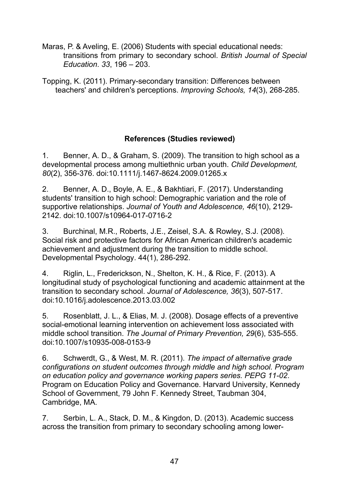Maras, P. & Aveling, E. (2006) Students with special educational needs: transitions from primary to secondary school. *British Journal of Special Education*. *33*, 196 – 203.

Topping, K. (2011). Primary-secondary transition: Differences between teachers' and children's perceptions. *Improving Schools, 14*(3), 268-285.

## **References (Studies reviewed)**

1. Benner, A. D., & Graham, S. (2009). The transition to high school as a developmental process among multiethnic urban youth. *Child Development, 80*(2), 356-376. doi:10.1111/j.1467-8624.2009.01265.x

2. Benner, A. D., Boyle, A. E., & Bakhtiari, F. (2017). Understanding students' transition to high school: Demographic variation and the role of supportive relationships. *Journal of Youth and Adolescence, 46*(10), 2129- 2142. doi:10.1007/s10964-017-0716-2

3. Burchinal, M.R., Roberts, J.E., Zeisel, S.A. & Rowley, S.J. (2008). Social risk and protective factors for African American children's academic achievement and adjustment during the transition to middle school. Developmental Psychology. 44(1), 286-292.

4. Riglin, L., Frederickson, N., Shelton, K. H., & Rice, F. (2013). A longitudinal study of psychological functioning and academic attainment at the transition to secondary school. *Journal of Adolescence, 36*(3), 507-517. doi:10.1016/j.adolescence.2013.03.002

5. Rosenblatt, J. L., & Elias, M. J. (2008). Dosage effects of a preventive social-emotional learning intervention on achievement loss associated with middle school transition. *The Journal of Primary Prevention, 29*(6), 535-555. doi:10.1007/s10935-008-0153-9

6. Schwerdt, G., & West, M. R. (2011). *The impact of alternative grade configurations on student outcomes through middle and high school. Program on education policy and governance working papers series. PEPG 11-02*. Program on Education Policy and Governance. Harvard University, Kennedy School of Government, 79 John F. Kennedy Street, Taubman 304, Cambridge, MA.

7. Serbin, L. A., Stack, D. M., & Kingdon, D. (2013). Academic success across the transition from primary to secondary schooling among lower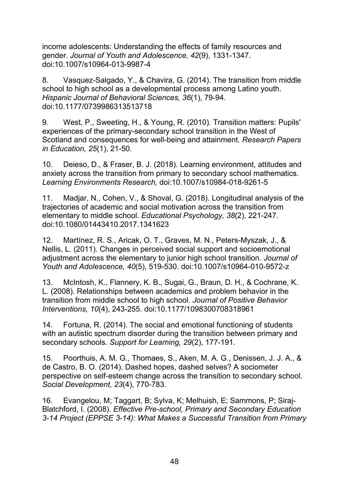income adolescents: Understanding the effects of family resources and gender. *Journal of Youth and Adolescence, 42*(9), 1331-1347. doi:10.1007/s10964-013-9987-4

8. Vasquez-Salgado, Y., & Chavira, G. (2014). The transition from middle school to high school as a developmental process among Latino youth. *Hispanic Journal of Behavioral Sciences, 36*(1), 79-94. doi:10.1177/0739986313513718

9. West, P., Sweeting, H., & Young, R. (2010). Transition matters: Pupils' experiences of the primary-secondary school transition in the West of Scotland and consequences for well-being and attainment. *Research Papers in Education, 25*(1), 21-50.

10. Deieso, D., & Fraser, B. J. (2018). Learning environment, attitudes and anxiety across the transition from primary to secondary school mathematics. *Learning Environments Research,* doi:10.1007/s10984-018-9261-5

11. Madjar, N., Cohen, V., & Shoval, G. (2018). Longitudinal analysis of the trajectories of academic and social motivation across the transition from elementary to middle school. *Educational Psychology, 38*(2), 221-247. doi:10.1080/01443410.2017.1341623

12. Martínez, R. S., Aricak, O. T., Graves, M. N., Peters-Myszak, J., & Nellis, L. (2011). Changes in perceived social support and socioemotional adjustment across the elementary to junior high school transition. *Journal of Youth and Adolescence, 40*(5), 519-530. doi:10.1007/s10964-010-9572-z

13. McIntosh, K., Flannery, K. B., Sugai, G., Braun, D. H., & Cochrane, K. L. (2008). Relationships between academics and problem behavior in the transition from middle school to high school. *Journal of Positive Behavior Interventions, 10*(4), 243-255. doi:10.1177/1098300708318961

14. Fortuna, R. (2014). The social and emotional functioning of students with an autistic spectrum disorder during the transition between primary and secondary schools. *Support for Learning, 29*(2), 177-191.

15. Poorthuis, A. M. G., Thomaes, S., Aken, M. A. G., Denissen, J. J. A., & de Castro, B. O. (2014). Dashed hopes, dashed selves? A sociometer perspective on self‐esteem change across the transition to secondary school. *Social Development, 23*(4), 770-783.

16. Evangelou, M; Taggart, B; Sylva, K; Melhuish, E; Sammons, P; Siraj-Blatchford, I. (2008). *Effective Pre-school, Primary and Secondary Education 3-14 Project (EPPSE 3-14): What Makes a Successful Transition from Primary*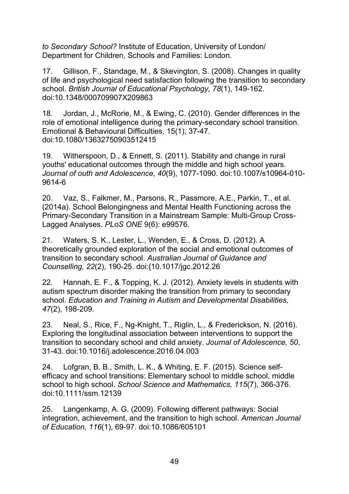*to Secondary School?* Institute of Education, University of London/ Department for Children, Schools and Families: London.

17. Gillison, F., Standage, M., & Skevington, S. (2008). Changes in quality of life and psychological need satisfaction following the transition to secondary school. *British Journal of Educational Psychology, 78*(1), 149-162. doi:10.1348/000709907X209863

18. Jordan, J., McRorie, M., & Ewing, C. (2010). Gender differences in the role of emotional intelligence during the primary-secondary school transition. Emotional & Behavioural Difficulties, 15(1), 37-47. doi:10.1080/13632750903512415

19. Witherspoon, D., & Ennett, S. (2011). Stability and change in rural youths' educational outcomes through the middle and high school years. *Journal of outh and Adolescence, 40*(9), 1077-1090. doi:10.1007/s10964-010- 9614-6

20. Vaz, S., Falkmer, M., Parsons, R., Passmore, A.E., Parkin, T., et al. (2014a). School Belongingness and Mental Health Functioning across the Primary-Secondary Transition in a Mainstream Sample: Multi-Group Cross-Lagged Analyses. *PLoS ONE* 9(6): e99576.

21. Waters, S. K., Lester, L., Wenden, E., & Cross, D. (2012). A theoretically grounded exploration of the social and emotional outcomes of transition to secondary school. *Australian Journal of Guidance and Counselling, 22*(2), 190-25. doi:{10.1017/jgc.2012.26

22. Hannah, E. F., & Topping, K. J. (2012). Anxiety levels in students with autism spectrum disorder making the transition from primary to secondary school. *Education and Training in Autism and Developmental Disabilities, 47*(2), 198-209.

23. Neal, S., Rice, F., Ng-Knight, T., Riglin, L., & Frederickson, N. (2016). Exploring the longitudinal association between interventions to support the transition to secondary school and child anxiety. *Journal of Adolescence, 50*, 31-43. doi:10.1016/j.adolescence.2016.04.003

24. Lofgran, B. B., Smith, L. K., & Whiting, E. F. (2015). Science selfefficacy and school transitions: Elementary school to middle school, middle school to high school. *School Science and Mathematics, 115*(7), 366-376. doi:10.1111/ssm.12139

25. Langenkamp, A. G. (2009). Following different pathways: Social integration, achievement, and the transition to high school. *American Journal of Education, 116*(1), 69-97. doi:10.1086/605101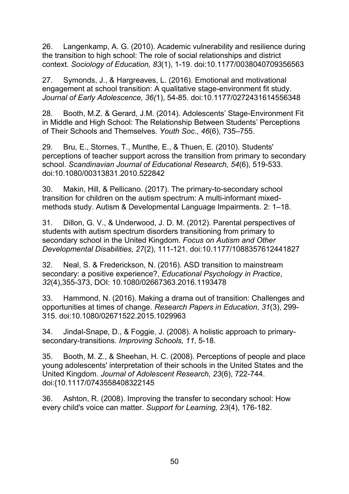26. Langenkamp, A. G. (2010). Academic vulnerability and resilience during the transition to high school: The role of social relationships and district context. *Sociology of Education, 83*(1), 1-19. doi:10.1177/0038040709356563

27. Symonds, J., & Hargreaves, L. (2016). Emotional and motivational engagement at school transition: A qualitative stage-environment fit study. *Journal of Early Adolescence, 36(*1), 54-85. doi:10.1177/0272431614556348

28. Booth, M.Z. & Gerard, J.M. (2014). Adolescents' Stage-Environment Fit in Middle and High School: The Relationship Between Students' Perceptions of Their Schools and Themselves. *Youth Soc*., *46*(6), 735–755.

29. Bru, E., Stornes, T., Munthe, E., & Thuen, E. (2010). Students' perceptions of teacher support across the transition from primary to secondary school. *Scandinavian Journal of Educational Research, 54*(6), 519-533. doi:10.1080/00313831.2010.522842

30. Makin, Hill, & Pellicano. (2017). The primary-to-secondary school transition for children on the autism spectrum: A multi-informant mixedmethods study. Autism & Developmental Language Impairments. 2: 1–18.

31. Dillon, G. V., & Underwood, J. D. M. (2012). Parental perspectives of students with autism spectrum disorders transitioning from primary to secondary school in the United Kingdom. *Focus on Autism and Other Developmental Disabilities, 27*(2), 111-121. doi:10.1177/1088357612441827

32. Neal, S. & Frederickson, N. (2016). ASD transition to mainstream secondary: a positive experience?, *Educational Psychology in Practice*, *32*(4),355-373, DOI: 10.1080/02667363.2016.1193478

33. Hammond, N. (2016). Making a drama out of transition: Challenges and opportunities at times of change. *Research Papers in Education, 31*(3), 299- 315. doi:10.1080/02671522.2015.1029963

34. Jindal-Snape, D., & Foggie, J. (2008). A holistic approach to primarysecondary-transitions. *Improving Schools, 11*, 5-18.

35. Booth, M. Z., & Sheehan, H. C. (2008). Perceptions of people and place young adolescents' interpretation of their schools in the United States and the United Kingdom. *Journal of Adolescent Research, 23*(6), 722-744. doi:{10.1117/0743558408322145

36. Ashton, R. (2008). Improving the transfer to secondary school: How every child's voice can matter. *Support for Learning, 23*(4), 176-182.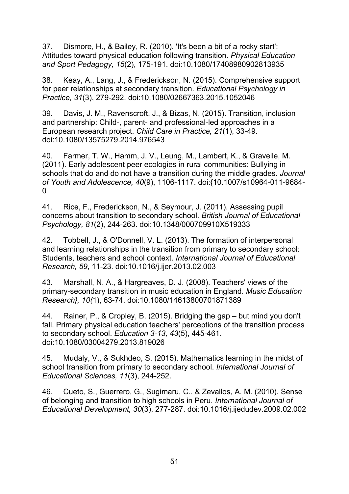37. Dismore, H., & Bailey, R. (2010). 'It's been a bit of a rocky start': Attitudes toward physical education following transition. *Physical Education and Sport Pedagogy, 15*(2), 175-191. doi:10.1080/17408980902813935

38. Keay, A., Lang, J., & Frederickson, N. (2015). Comprehensive support for peer relationships at secondary transition. *Educational Psychology in Practice, 31*(3), 279-292. doi:10.1080/02667363.2015.1052046

39. Davis, J. M., Ravenscroft, J., & Bizas, N. (2015). Transition, inclusion and partnership: Child-, parent- and professional-led approaches in a European research project. *Child Care in Practice, 21*(1), 33-49. doi:10.1080/13575279.2014.976543

40. Farmer, T. W., Hamm, J. V., Leung, M., Lambert, K., & Gravelle, M. (2011). Early adolescent peer ecologies in rural communities: Bullying in schools that do and do not have a transition during the middle grades. *Journal of Youth and Adolescence, 40*(9), 1106-1117. doi:{10.1007/s10964-011-9684-  $\Omega$ 

41. Rice, F., Frederickson, N., & Seymour, J. (2011). Assessing pupil concerns about transition to secondary school. *British Journal of Educational Psychology, 81*(2), 244-263. doi:10.1348/000709910X519333

42. Tobbell, J., & O'Donnell, V. L. (2013). The formation of interpersonal and learning relationships in the transition from primary to secondary school: Students, teachers and school context. *International Journal of Educational Research, 59*, 11-23. doi:10.1016/j.ijer.2013.02.003

43. Marshall, N. A., & Hargreaves, D. J. (2008). Teachers' views of the primary-secondary transition in music education in England. *Music Education Research}, 10(*1), 63-74. doi:10.1080/14613800701871389

44. Rainer, P., & Cropley, B. (2015). Bridging the gap – but mind you don't fall. Primary physical education teachers' perceptions of the transition process to secondary school. *Education 3-13, 43*(5), 445-461. doi:10.1080/03004279.2013.819026

45. Mudaly, V., & Sukhdeo, S. (2015). Mathematics learning in the midst of school transition from primary to secondary school. *International Journal of Educational Sciences, 11*(3), 244-252.

46. Cueto, S., Guerrero, G., Sugimaru, C., & Zevallos, A. M. (2010). Sense of belonging and transition to high schools in Peru. *International Journal of Educational Development, 30*(3), 277-287. doi:10.1016/j.ijedudev.2009.02.002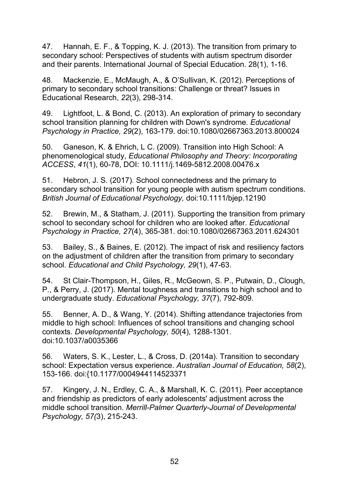47. Hannah, E. F., & Topping, K. J. (2013). The transition from primary to secondary school: Perspectives of students with autism spectrum disorder and their parents. International Journal of Special Education. 28(1), 1-16.

48. Mackenzie, E., McMaugh, A., & O'Sullivan, K. (2012). Perceptions of primary to secondary school transitions: Challenge or threat? Issues in Educational Research, *22*(3), 298-314.

49. Lightfoot, L. & Bond, C. (2013). An exploration of primary to secondary school transition planning for children with Down's syndrome. *Educational Psychology in Practice, 29*(2), 163-179. doi:10.1080/02667363.2013.800024

50. Ganeson, K. & Ehrich, L C. (2009). Transition into High School: A phenomenological study, *Educational Philosophy and Theory: Incorporating ACCESS*, *41*(1), 60-78, DOI: 10.1111/j.1469-5812.2008.00476.x

51. Hebron, J. S. (2017). School connectedness and the primary to secondary school transition for young people with autism spectrum conditions. *British Journal of Educational Psychology,* doi:10.1111/bjep.12190

52. Brewin, M., & Statham, J. (2011). Supporting the transition from primary school to secondary school for children who are looked after. *Educational Psychology in Practice, 27*(4), 365-381. doi:10.1080/02667363.2011.624301

53. Bailey, S., & Baines, E. (2012). The impact of risk and resiliency factors on the adjustment of children after the transition from primary to secondary school. *Educational and Child Psychology, 29*(1), 47-63.

54. St Clair-Thompson, H., Giles, R., McGeown, S. P., Putwain, D., Clough, P., & Perry, J. (2017). Mental toughness and transitions to high school and to undergraduate study. *Educational Psychology, 37*(7), 792-809.

55. Benner, A. D., & Wang, Y. (2014). Shifting attendance trajectories from middle to high school: Influences of school transitions and changing school contexts. *Developmental Psychology, 50*(4), 1288-1301. doi:10.1037/a0035366

56. Waters, S. K., Lester, L., & Cross, D. (2014a). Transition to secondary school: Expectation versus experience. *Australian Journal of Education, 58*(2), 153-166. doi:{10.1177/0004944114523371

57. Kingery, J. N., Erdley, C. A., & Marshall, K. C. (2011). Peer acceptance and friendship as predictors of early adolescents' adjustment across the middle school transition. *Merrill-Palmer Quarterly-Journal of Developmental Psychology, 57(*3), 215-243.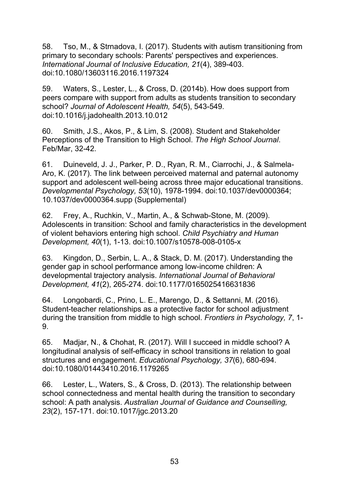58. Tso, M., & Strnadova, I. (2017). Students with autism transitioning from primary to secondary schools: Parents' perspectives and experiences. *International Journal of Inclusive Education, 21*(4), 389-403. doi:10.1080/13603116.2016.1197324

59. Waters, S., Lester, L., & Cross, D. (2014b). How does support from peers compare with support from adults as students transition to secondary school? *Journal of Adolescent Health, 54*(5), 543-549. doi:10.1016/j.jadohealth.2013.10.012

60. Smith, J.S., Akos, P., & Lim, S. (2008). Student and Stakeholder Perceptions of the Transition to High School. *The High School Journal*. Feb/Mar, 32-42.

61. Duineveld, J. J., Parker, P. D., Ryan, R. M., Ciarrochi, J., & Salmela-Aro, K. (2017). The link between perceived maternal and paternal autonomy support and adolescent well-being across three major educational transitions. *Developmental Psychology, 53*(10), 1978-1994. doi:10.1037/dev0000364; 10.1037/dev0000364.supp (Supplemental)

62. Frey, A., Ruchkin, V., Martin, A., & Schwab-Stone, M. (2009). Adolescents in transition: School and family characteristics in the development of violent behaviors entering high school. *Child Psychiatry and Human Development, 40*(1), 1-13. doi:10.1007/s10578-008-0105-x

63. Kingdon, D., Serbin, L. A., & Stack, D. M. (2017). Understanding the gender gap in school performance among low-income children: A developmental trajectory analysis. *International Journal of Behavioral Development, 41*(2), 265-274. doi:10.1177/0165025416631836

64. Longobardi, C., Prino, L. E., Marengo, D., & Settanni, M. (2016). Student-teacher relationships as a protective factor for school adjustment during the transition from middle to high school. *Frontiers in Psychology, 7*, 1- 9.

65. Madjar, N., & Chohat, R. (2017). Will I succeed in middle school? A longitudinal analysis of self-efficacy in school transitions in relation to goal structures and engagement. *Educational Psychology, 37*(6), 680-694. doi:10.1080/01443410.2016.1179265

66. Lester, L., Waters, S., & Cross, D. (2013). The relationship between school connectedness and mental health during the transition to secondary school: A path analysis. *Australian Journal of Guidance and Counselling, 23*(2), 157-171. doi:10.1017/jgc.2013.20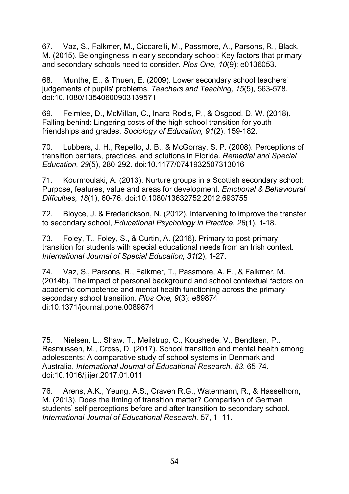67. Vaz, S., Falkmer, M., Ciccarelli, M., Passmore, A., Parsons, R., Black, M. (2015). Belongingness in early secondary school: Key factors that primary and secondary schools need to consider. *Plos One, 10*(9): e0136053.

68. Munthe, E., & Thuen, E. (2009). Lower secondary school teachers' judgements of pupils' problems. *Teachers and Teaching, 15*(5), 563-578. doi:10.1080/13540600903139571

69. Felmlee, D., McMillan, C., Inara Rodis, P., & Osgood, D. W. (2018). Falling behind: Lingering costs of the high school transition for youth friendships and grades. *Sociology of Education, 91*(2), 159-182.

70. Lubbers, J. H., Repetto, J. B., & McGorray, S. P. (2008). Perceptions of transition barriers, practices, and solutions in Florida. *Remedial and Special Education, 29*(5), 280-292. doi:10.1177/0741932507313016

71. Kourmoulaki, A. (2013). Nurture groups in a Scottish secondary school: Purpose, features, value and areas for development. *Emotional & Behavioural Diffculties, 18*(1), 60-76. doi:10.1080/13632752.2012.693755

72. Bloyce, J. & Frederickson, N. (2012). Intervening to improve the transfer to secondary school, *Educational Psychology in Practice*, *28*(1), 1-18.

73. Foley, T., Foley, S., & Curtin, A. (2016). Primary to post-primary transition for students with special educational needs from an Irish context. *International Journal of Special Education, 31*(2), 1-27.

74. Vaz, S., Parsons, R., Falkmer, T., Passmore, A. E., & Falkmer, M. (2014b). The impact of personal background and school contextual factors on academic competence and mental health functioning across the primarysecondary school transition. *Plos One, 9*(3): e89874 di:10.1371/journal.pone.0089874

75. Nielsen, L., Shaw, T., Meilstrup, C., Koushede, V., Bendtsen, P., Rasmussen, M., Cross, D. (2017). School transition and mental health among adolescents: A comparative study of school systems in Denmark and Australia, *International Journal of Educational Research, 83*, 65-74. doi:10.1016/j.ijer.2017.01.011

76. Arens, A.K., Yeung, A.S., Craven R.G., Watermann, R., & Hasselhorn, M. (2013). Does the timing of transition matter? Comparison of German students' self-perceptions before and after transition to secondary school. *International Journal of Educational Research,* 57, 1–11.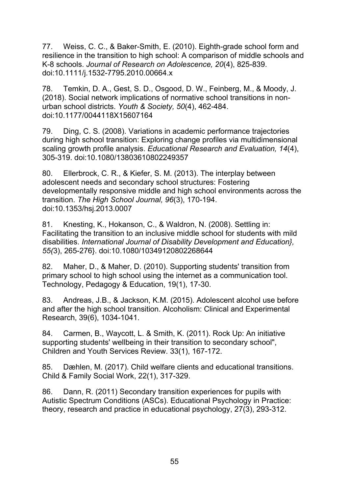77. Weiss, C. C., & Baker-Smith, E. (2010). Eighth-grade school form and resilience in the transition to high school: A comparison of middle schools and K-8 schools. *Journal of Research on Adolescence, 20*(4), 825-839. doi:10.1111/j.1532-7795.2010.00664.x

78. Temkin, D. A., Gest, S. D., Osgood, D. W., Feinberg, M., & Moody, J. (2018). Social network implications of normative school transitions in nonurban school districts. *Youth & Society, 50*(4), 462-484. doi:10.1177/0044118X15607164

79. Ding, C. S. (2008). Variations in academic performance trajectories during high school transition: Exploring change profiles via multidimensional scaling growth profile analysis. *Educational Research and Evaluation, 14*(4), 305-319. doi:10.1080/13803610802249357

80. Ellerbrock, C. R., & Kiefer, S. M. (2013). The interplay between adolescent needs and secondary school structures: Fostering developmentally responsive middle and high school environments across the transition. *The High School Journal, 96*(3), 170-194. doi:10.1353/hsj.2013.0007

81. Knesting, K., Hokanson, C., & Waldron, N. (2008). Settling in: Facilitating the transition to an inclusive middle school for students with mild disabilities. *International Journal of Disability Development and Education}, 55(*3), 265-276}. doi:10.1080/10349120802268644

82. Maher, D., & Maher, D. (2010). Supporting students' transition from primary school to high school using the internet as a communication tool. Technology, Pedagogy & Education, 19(1), 17-30.

83. Andreas, J.B., & Jackson, K.M. (2015). Adolescent alcohol use before and after the high school transition. Alcoholism: Clinical and Experimental Research, 39(6), 1034-1041.

84. Carmen, B., Waycott, L. & Smith, K. (2011). Rock Up: An initiative supporting students' wellbeing in their transition to secondary school", Children and Youth Services Review. 33(1), 167-172.

85. Dæhlen, M. (2017). Child welfare clients and educational transitions. Child & Family Social Work, 22(1), 317-329.

86. Dann, R. (2011) Secondary transition experiences for pupils with Autistic Spectrum Conditions (ASCs). Educational Psychology in Practice: theory, research and practice in educational psychology, 27(3), 293-312.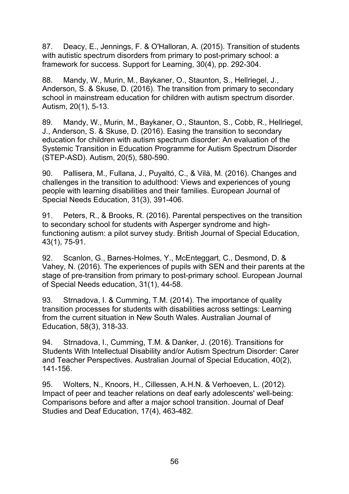87. Deacy, E., Jennings, F. & O'Halloran, A. (2015). Transition of students with autistic spectrum disorders from primary to post-primary school: a framework for success. Support for Learning, 30(4), pp. 292-304.

88. Mandy, W., Murin, M., Baykaner, O., Staunton, S., Hellriegel, J., Anderson, S. & Skuse, D. (2016). The transition from primary to secondary school in mainstream education for children with autism spectrum disorder. Autism, 20(1), 5-13.

89. Mandy, W., Murin, M., Baykaner, O., Staunton, S., Cobb, R., Hellriegel, J., Anderson, S. & Skuse, D. (2016). Easing the transition to secondary education for children with autism spectrum disorder: An evaluation of the Systemic Transition in Education Programme for Autism Spectrum Disorder (STEP-ASD). Autism, 20(5), 580-590.

90. Pallisera, M., Fullana, J., Puyaltó, C., & Vilà, M. (2016). Changes and challenges in the transition to adulthood: Views and experiences of young people with learning disabilities and their families. European Journal of Special Needs Education, 31(3), 391-406.

91. Peters, R., & Brooks, R. (2016). Parental perspectives on the transition to secondary school for students with Asperger syndrome and highfunctioning autism: a pilot survey study. British Journal of Special Education, 43(1), 75-91.

92. Scanlon, G., Barnes-Holmes, Y., McEnteggart, C., Desmond, D. & Vahey, N. (2016). The experiences of pupils with SEN and their parents at the stage of pre-transition from primary to post-primary school. European Journal of Special Needs education, 31(1), 44-58.

93. Strnadova, I. & Cumming, T.M. (2014). The importance of quality transition processes for students with disabilities across settings: Learning from the current situation in New South Wales. Australian Journal of Education, 58(3), 318-33.

94. Strnadova, I., Cumming, T.M. & Danker, J. (2016). Transitions for Students With Intellectual Disability and/or Autism Spectrum Disorder: Carer and Teacher Perspectives. Australian Journal of Special Education, 40(2), 141-156.

95. Wolters, N., Knoors, H., Cillessen, A.H.N. & Verhoeven, L. (2012). Impact of peer and teacher relations on deaf early adolescents' well-being: Comparisons before and after a major school transition. Journal of Deaf Studies and Deaf Education, 17(4), 463-482.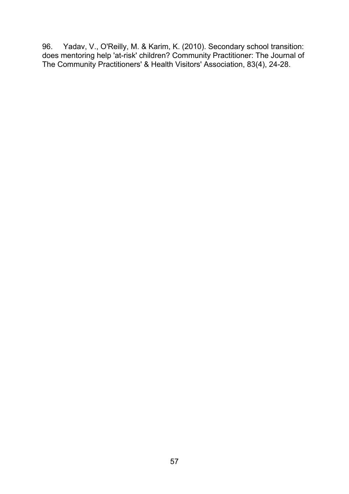96. Yadav, V., O'Reilly, M. & Karim, K. (2010). Secondary school transition: does mentoring help 'at-risk' children? Community Practitioner: The Journal of The Community Practitioners' & Health Visitors' Association, 83(4), 24-28.